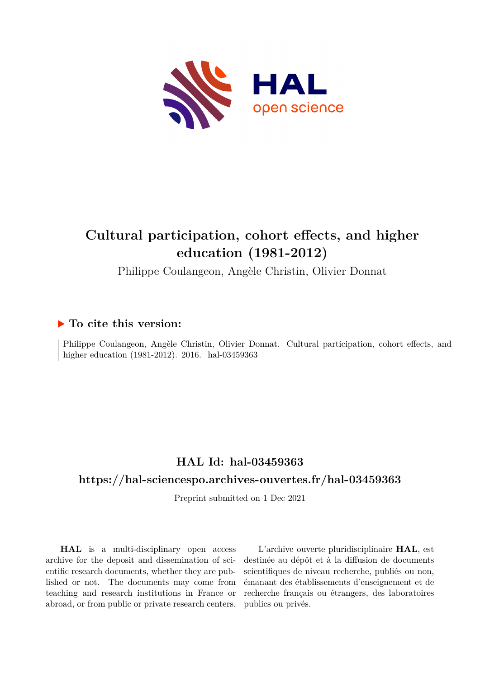

# **Cultural participation, cohort effects, and higher education (1981-2012)**

Philippe Coulangeon, Angèle Christin, Olivier Donnat

### **To cite this version:**

Philippe Coulangeon, Angèle Christin, Olivier Donnat. Cultural participation, cohort effects, and higher education  $(1981-2012)$ . 2016. hal-03459363

# **HAL Id: hal-03459363**

#### **<https://hal-sciencespo.archives-ouvertes.fr/hal-03459363>**

Preprint submitted on 1 Dec 2021

**HAL** is a multi-disciplinary open access archive for the deposit and dissemination of scientific research documents, whether they are published or not. The documents may come from teaching and research institutions in France or abroad, or from public or private research centers.

L'archive ouverte pluridisciplinaire **HAL**, est destinée au dépôt et à la diffusion de documents scientifiques de niveau recherche, publiés ou non, émanant des établissements d'enseignement et de recherche français ou étrangers, des laboratoires publics ou privés.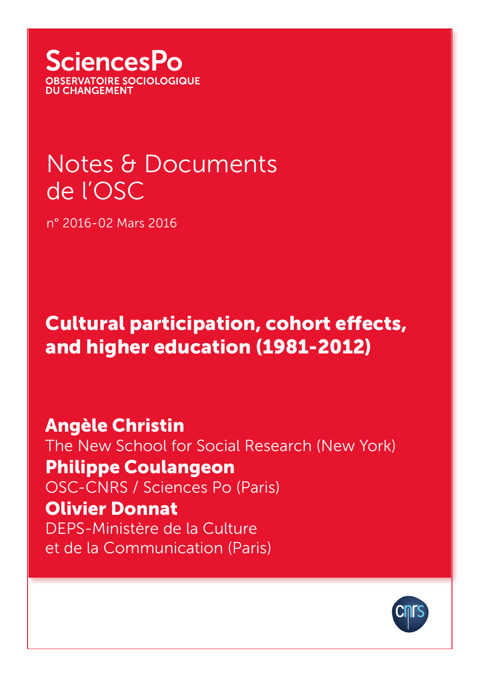**SciencesPo TOIRE SOCIOLOGIQUE** DU CHANGFMFNT

# Notes & Documents de l'OSC

n° 2016-02 Mars 2016

Cultural participation, cohort effects, and higher education (1981-2012)

Angèle Christin The New School for Social Research (New York) Philippe Coulangeon OSC-CNRS / Sciences Po (Paris) Olivier Donnat DEPS-Ministère de la Culture et de la Communication (Paris)

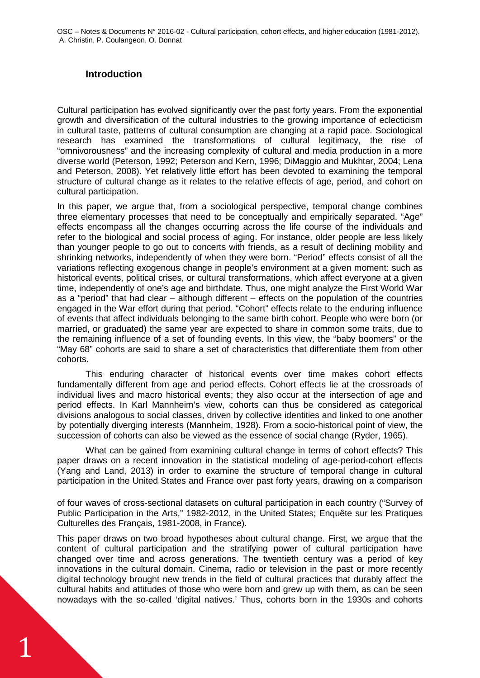#### **Introduction**

Cultural participation has evolved significantly over the past forty years. From the exponential growth and diversification of the cultural industries to the growing importance of eclecticism in cultural taste, patterns of cultural consumption are changing at a rapid pace. Sociological research has examined the transformations of cultural legitimacy, the rise of "omnivorousness" and the increasing complexity of cultural and media production in a more diverse world (Peterson, 1992; Peterson and Kern, 1996; DiMaggio and Mukhtar, 2004; Lena and Peterson, 2008). Yet relatively little effort has been devoted to examining the temporal structure of cultural change as it relates to the relative effects of age, period, and cohort on cultural participation.

In this paper, we argue that, from a sociological perspective, temporal change combines three elementary processes that need to be conceptually and empirically separated. "Age" effects encompass all the changes occurring across the life course of the individuals and refer to the biological and social process of aging. For instance, older people are less likely than younger people to go out to concerts with friends, as a result of declining mobility and shrinking networks, independently of when they were born. "Period" effects consist of all the variations reflecting exogenous change in people's environment at a given moment: such as historical events, political crises, or cultural transformations, which affect everyone at a given time, independently of one's age and birthdate. Thus, one might analyze the First World War as a "period" that had clear – although different – effects on the population of the countries engaged in the War effort during that period. "Cohort" effects relate to the enduring influence of events that affect individuals belonging to the same birth cohort. People who were born (or married, or graduated) the same year are expected to share in common some traits, due to the remaining influence of a set of founding events. In this view, the "baby boomers" or the "May 68" cohorts are said to share a set of characteristics that differentiate them from other cohorts.

This enduring character of historical events over time makes cohort effects fundamentally different from age and period effects. Cohort effects lie at the crossroads of individual lives and macro historical events; they also occur at the intersection of age and period effects. In Karl Mannheim's view, cohorts can thus be considered as categorical divisions analogous to social classes, driven by collective identities and linked to one another by potentially diverging interests (Mannheim, 1928). From a socio-historical point of view, the succession of cohorts can also be viewed as the essence of social change (Ryder, 1965).

What can be gained from examining cultural change in terms of cohort effects? This paper draws on a recent innovation in the statistical modeling of age-period-cohort effects (Yang and Land, 2013) in order to examine the structure of temporal change in cultural participation in the United States and France over past forty years, drawing on a comparison

of four waves of cross-sectional datasets on cultural participation in each country ("Survey of Public Participation in the Arts," 1982-2012, in the United States; Enquête sur les Pratiques Culturelles des Français, 1981-2008, in France).

This paper draws on two broad hypotheses about cultural change. First, we argue that the content of cultural participation and the stratifying power of cultural participation have changed over time and across generations. The twentieth century was a period of key innovations in the cultural domain. Cinema, radio or television in the past or more recently digital technology brought new trends in the field of cultural practices that durably affect the cultural habits and attitudes of those who were born and grew up with them, as can be seen nowadays with the so-called 'digital natives.' Thus, cohorts born in the 1930s and cohorts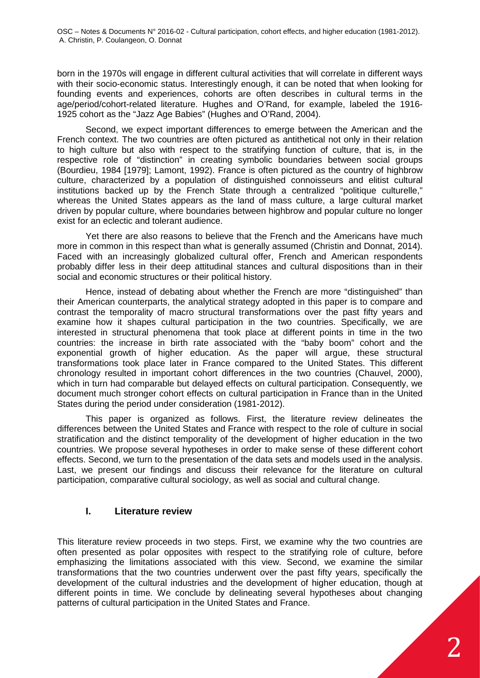born in the 1970s will engage in different cultural activities that will correlate in different ways with their socio-economic status. Interestingly enough, it can be noted that when looking for founding events and experiences, cohorts are often describes in cultural terms in the age/period/cohort-related literature. Hughes and O'Rand, for example, labeled the 1916- 1925 cohort as the "Jazz Age Babies" (Hughes and O'Rand, 2004).

Second, we expect important differences to emerge between the American and the French context. The two countries are often pictured as antithetical not only in their relation to high culture but also with respect to the stratifying function of culture, that is, in the respective role of "distinction" in creating symbolic boundaries between social groups (Bourdieu, 1984 [1979]; Lamont, 1992). France is often pictured as the country of highbrow culture, characterized by a population of distinguished connoisseurs and elitist cultural institutions backed up by the French State through a centralized "politique culturelle," whereas the United States appears as the land of mass culture, a large cultural market driven by popular culture, where boundaries between highbrow and popular culture no longer exist for an eclectic and tolerant audience.

Yet there are also reasons to believe that the French and the Americans have much more in common in this respect than what is generally assumed (Christin and Donnat, 2014). Faced with an increasingly globalized cultural offer, French and American respondents probably differ less in their deep attitudinal stances and cultural dispositions than in their social and economic structures or their political history.

Hence, instead of debating about whether the French are more "distinguished" than their American counterparts, the analytical strategy adopted in this paper is to compare and contrast the temporality of macro structural transformations over the past fifty years and examine how it shapes cultural participation in the two countries. Specifically, we are interested in structural phenomena that took place at different points in time in the two countries: the increase in birth rate associated with the "baby boom" cohort and the exponential growth of higher education. As the paper will argue, these structural transformations took place later in France compared to the United States. This different chronology resulted in important cohort differences in the two countries (Chauvel, 2000), which in turn had comparable but delayed effects on cultural participation. Consequently, we document much stronger cohort effects on cultural participation in France than in the United States during the period under consideration (1981-2012).

This paper is organized as follows. First, the literature review delineates the differences between the United States and France with respect to the role of culture in social stratification and the distinct temporality of the development of higher education in the two countries. We propose several hypotheses in order to make sense of these different cohort effects. Second, we turn to the presentation of the data sets and models used in the analysis. Last, we present our findings and discuss their relevance for the literature on cultural participation, comparative cultural sociology, as well as social and cultural change.

#### **I. Literature review**

This literature review proceeds in two steps. First, we examine why the two countries are often presented as polar opposites with respect to the stratifying role of culture, before emphasizing the limitations associated with this view. Second, we examine the similar transformations that the two countries underwent over the past fifty years, specifically the development of the cultural industries and the development of higher education, though at different points in time. We conclude by delineating several hypotheses about changing patterns of cultural participation in the United States and France.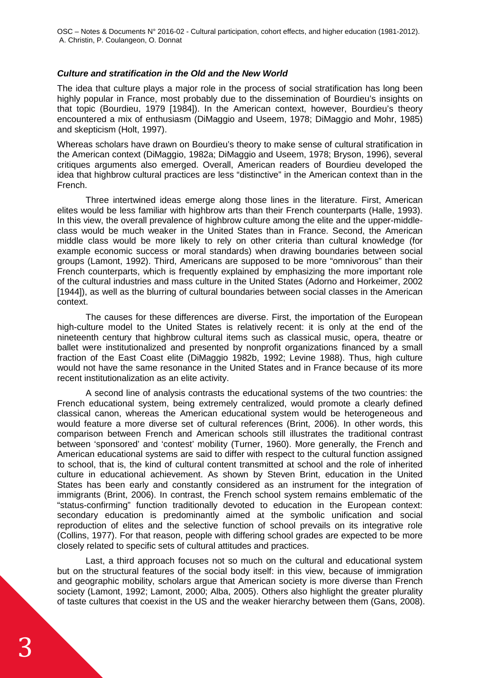#### *Culture and stratification in the Old and the New World*

The idea that culture plays a major role in the process of social stratification has long been highly popular in France, most probably due to the dissemination of Bourdieu's insights on that topic (Bourdieu, 1979 [1984]). In the American context, however, Bourdieu's theory encountered a mix of enthusiasm (DiMaggio and Useem, 1978; DiMaggio and Mohr, 1985) and skepticism (Holt, 1997).

Whereas scholars have drawn on Bourdieu's theory to make sense of cultural stratification in the American context (DiMaggio, 1982a; DiMaggio and Useem, 1978; Bryson, 1996), several critiques arguments also emerged. Overall, American readers of Bourdieu developed the idea that highbrow cultural practices are less "distinctive" in the American context than in the French.

Three intertwined ideas emerge along those lines in the literature. First, American elites would be less familiar with highbrow arts than their French counterparts (Halle, 1993). In this view, the overall prevalence of highbrow culture among the elite and the upper-middleclass would be much weaker in the United States than in France. Second, the American middle class would be more likely to rely on other criteria than cultural knowledge (for example economic success or moral standards) when drawing boundaries between social groups (Lamont, 1992). Third, Americans are supposed to be more "omnivorous" than their French counterparts, which is frequently explained by emphasizing the more important role of the cultural industries and mass culture in the United States (Adorno and Horkeimer, 2002 [1944]), as well as the blurring of cultural boundaries between social classes in the American context.

The causes for these differences are diverse. First, the importation of the European high-culture model to the United States is relatively recent: it is only at the end of the nineteenth century that highbrow cultural items such as classical music, opera, theatre or ballet were institutionalized and presented by nonprofit organizations financed by a small fraction of the East Coast elite (DiMaggio 1982b, 1992; Levine 1988). Thus, high culture would not have the same resonance in the United States and in France because of its more recent institutionalization as an elite activity.

A second line of analysis contrasts the educational systems of the two countries: the French educational system, being extremely centralized, would promote a clearly defined classical canon, whereas the American educational system would be heterogeneous and would feature a more diverse set of cultural references (Brint, 2006). In other words, this comparison between French and American schools still illustrates the traditional contrast between 'sponsored' and 'contest' mobility (Turner, 1960). More generally, the French and American educational systems are said to differ with respect to the cultural function assigned to school, that is, the kind of cultural content transmitted at school and the role of inherited culture in educational achievement. As shown by Steven Brint, education in the United States has been early and constantly considered as an instrument for the integration of immigrants (Brint, 2006). In contrast, the French school system remains emblematic of the "status-confirming" function traditionally devoted to education in the European context: secondary education is predominantly aimed at the symbolic unification and social reproduction of elites and the selective function of school prevails on its integrative role (Collins, 1977). For that reason, people with differing school grades are expected to be more closely related to specific sets of cultural attitudes and practices.

Last, a third approach focuses not so much on the cultural and educational system but on the structural features of the social body itself: in this view, because of immigration and geographic mobility, scholars argue that American society is more diverse than French society (Lamont, 1992; Lamont, 2000; Alba, 2005). Others also highlight the greater plurality of taste cultures that coexist in the US and the weaker hierarchy between them (Gans, 2008).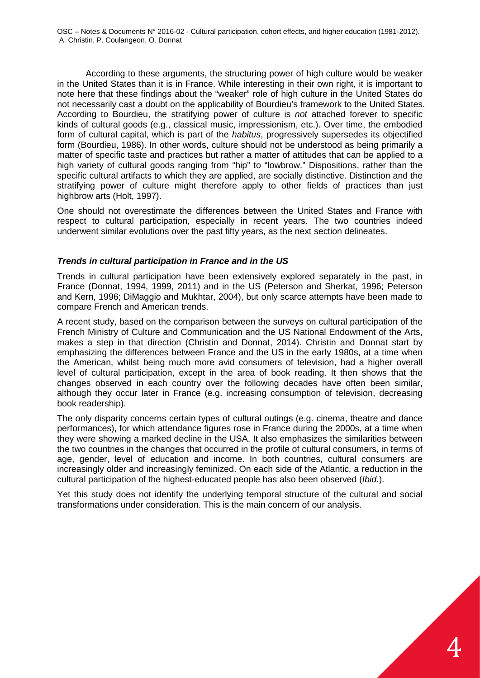According to these arguments, the structuring power of high culture would be weaker in the United States than it is in France. While interesting in their own right, it is important to note here that these findings about the "weaker" role of high culture in the United States do not necessarily cast a doubt on the applicability of Bourdieu's framework to the United States. According to Bourdieu, the stratifying power of culture is *not* attached forever to specific kinds of cultural goods (e.g., classical music, impressionism, etc.). Over time, the embodied form of cultural capital, which is part of the *habitus*, progressively supersedes its objectified form (Bourdieu, 1986). In other words, culture should not be understood as being primarily a matter of specific taste and practices but rather a matter of attitudes that can be applied to a high variety of cultural goods ranging from "hip" to "lowbrow." Dispositions, rather than the specific cultural artifacts to which they are applied, are socially distinctive. Distinction and the stratifying power of culture might therefore apply to other fields of practices than just highbrow arts (Holt, 1997).

One should not overestimate the differences between the United States and France with respect to cultural participation, especially in recent years. The two countries indeed underwent similar evolutions over the past fifty years, as the next section delineates.

#### *Trends in cultural participation in France and in the US*

Trends in cultural participation have been extensively explored separately in the past, in France (Donnat, 1994, 1999, 2011) and in the US (Peterson and Sherkat, 1996; Peterson and Kern, 1996; DiMaggio and Mukhtar, 2004), but only scarce attempts have been made to compare French and American trends.

A recent study, based on the comparison between the surveys on cultural participation of the French Ministry of Culture and Communication and the US National Endowment of the Arts, makes a step in that direction (Christin and Donnat, 2014). Christin and Donnat start by emphasizing the differences between France and the US in the early 1980s, at a time when the American, whilst being much more avid consumers of television, had a higher overall level of cultural participation, except in the area of book reading. It then shows that the changes observed in each country over the following decades have often been similar, although they occur later in France (e.g. increasing consumption of television, decreasing book readership).

The only disparity concerns certain types of cultural outings (e.g. cinema, theatre and dance performances), for which attendance figures rose in France during the 2000s, at a time when they were showing a marked decline in the USA. It also emphasizes the similarities between the two countries in the changes that occurred in the profile of cultural consumers, in terms of age, gender, level of education and income. In both countries, cultural consumers are increasingly older and increasingly feminized. On each side of the Atlantic, a reduction in the cultural participation of the highest-educated people has also been observed (*Ibid.*).

Yet this study does not identify the underlying temporal structure of the cultural and social transformations under consideration. This is the main concern of our analysis.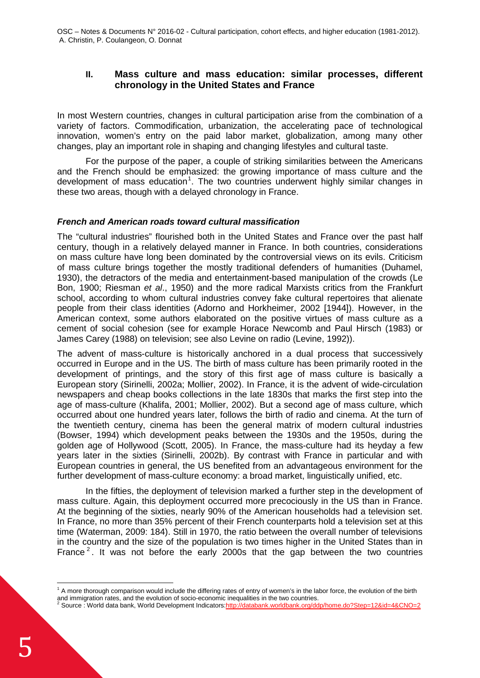#### **II. Mass culture and mass education: similar processes, different chronology in the United States and France**

In most Western countries, changes in cultural participation arise from the combination of a variety of factors. Commodification, urbanization, the accelerating pace of technological innovation, women's entry on the paid labor market, globalization, among many other changes, play an important role in shaping and changing lifestyles and cultural taste.

For the purpose of the paper, a couple of striking similarities between the Americans and the French should be emphasized: the growing importance of mass culture and the development of mass education<sup>[1](#page-6-0)</sup>. The two countries underwent highly similar changes in these two areas, though with a delayed chronology in France.

#### *French and American roads toward cultural massification*

The "cultural industries" flourished both in the United States and France over the past half century, though in a relatively delayed manner in France. In both countries, considerations on mass culture have long been dominated by the controversial views on its evils. Criticism of mass culture brings together the mostly traditional defenders of humanities (Duhamel, 1930), the detractors of the media and entertainment-based manipulation of the crowds (Le Bon, 1900; Riesman *et al*., 1950) and the more radical Marxists critics from the Frankfurt school, according to whom cultural industries convey fake cultural repertoires that alienate people from their class identities (Adorno and Horkheimer, 2002 [1944]). However, in the American context, some authors elaborated on the positive virtues of mass culture as a cement of social cohesion (see for example Horace Newcomb and Paul Hirsch (1983) or James Carey (1988) on television; see also Levine on radio (Levine, 1992)).

The advent of mass-culture is historically anchored in a dual process that successively occurred in Europe and in the US. The birth of mass culture has been primarily rooted in the development of printings, and the story of this first age of mass culture is basically a European story (Sirinelli, 2002a; Mollier, 2002). In France, it is the advent of wide-circulation newspapers and cheap books collections in the late 1830s that marks the first step into the age of mass-culture (Khalifa, 2001; Mollier, 2002). But a second age of mass culture, which occurred about one hundred years later, follows the birth of radio and cinema. At the turn of the twentieth century, cinema has been the general matrix of modern cultural industries (Bowser, 1994) which development peaks between the 1930s and the 1950s, during the golden age of Hollywood (Scott, 2005). In France, the mass-culture had its heyday a few years later in the sixties (Sirinelli, 2002b). By contrast with France in particular and with European countries in general, the US benefited from an advantageous environment for the further development of mass-culture economy: a broad market, linguistically unified, etc.

In the fifties, the deployment of television marked a further step in the development of mass culture. Again, this deployment occurred more precociously in the US than in France. At the beginning of the sixties, nearly 90% of the American households had a television set. In France, no more than 35% percent of their French counterparts hold a television set at this time (Waterman, 2009: 184). Still in 1970, the ratio between the overall number of televisions in the country and the size of the population is two times higher in the United States than in France  $2$ . It was not before the early 2000s that the gap between the two countries

<span id="page-6-1"></span>

<span id="page-6-0"></span><sup>&</sup>lt;u>.</u>  $1$  A more thorough comparison would include the differing rates of entry of women's in the labor force, the evolution of the birth and immigration rates, and the evolution of socio-economic inequalities in the two countries.<br>2 Source : World data bank, World Development Indicators[:http://databank.worldbank.org/ddp/home.do?Step=12&id=4&CNO=2](http://databank.worldbank.org/ddp/home.do?Step=12&id=4&CNO=2)<br><sup>2</sup> Source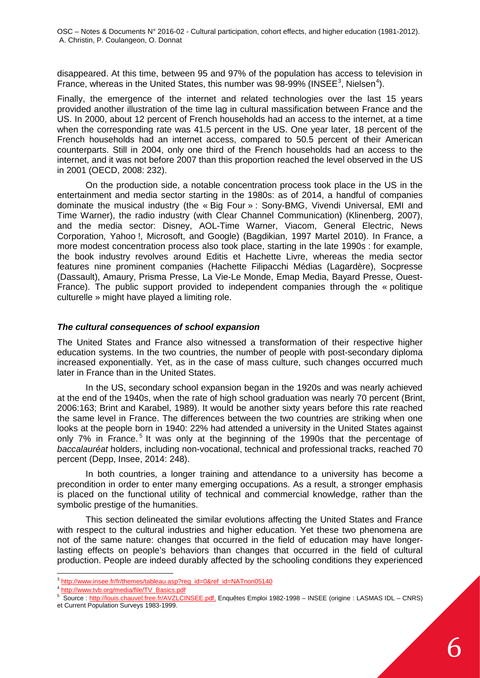disappeared. At this time, between 95 and 97% of the population has access to television in France, whereas in the United States, this number was 98-99% (INSEE<sup>[3](#page-7-0)</sup>, Nielsen<sup>[4](#page-7-1)</sup>).

Finally, the emergence of the internet and related technologies over the last 15 years provided another illustration of the time lag in cultural massification between France and the US. In 2000, about 12 percent of French households had an access to the internet, at a time when the corresponding rate was 41.5 percent in the US. One year later, 18 percent of the French households had an internet access, compared to 50.5 percent of their American counterparts. Still in 2004, only one third of the French households had an access to the internet, and it was not before 2007 than this proportion reached the level observed in the US in 2001 (OECD, 2008: 232).

On the production side, a notable concentration process took place in the US in the entertainment and media sector starting in the 1980s: as of 2014, a handful of companies dominate the musical industry (the « Big Four » : Sony-BMG, Vivendi Universal, EMI and Time Warner), the radio industry (with Clear Channel Communication) (Klinenberg, 2007), and the media sector: Disney, AOL-Time Warner, Viacom, General Electric, News Corporation, Yahoo !, Microsoft, and Google) (Bagdikian, 1997 Martel 2010). In France, a more modest concentration process also took place, starting in the late 1990s : for example, the book industry revolves around Editis et Hachette Livre, whereas the media sector features nine prominent companies (Hachette Filipacchi Médias (Lagardère), Socpresse (Dassault), Amaury, Prisma Presse, La Vie-Le Monde, Emap Media, Bayard Presse, Ouest-France). The public support provided to independent companies through the « politique culturelle » might have played a limiting role.

#### *The cultural consequences of school expansion*

The United States and France also witnessed a transformation of their respective higher education systems. In the two countries, the number of people with post-secondary diploma increased exponentially. Yet, as in the case of mass culture, such changes occurred much later in France than in the United States.

In the US, secondary school expansion began in the 1920s and was nearly achieved at the end of the 1940s, when the rate of high school graduation was nearly 70 percent (Brint, 2006:163; Brint and Karabel, 1989). It would be another sixty years before this rate reached the same level in France. The differences between the two countries are striking when one looks at the people born in 1940: 22% had attended a university in the United States against only 7% in France.<sup>[5](#page-7-2)</sup> It was only at the beginning of the 1990s that the percentage of *baccalauréat* holders, including non-vocational, technical and professional tracks, reached 70 percent (Depp, Insee, 2014: 248).

In both countries, a longer training and attendance to a university has become a precondition in order to enter many emerging occupations. As a result, a stronger emphasis is placed on the functional utility of technical and commercial knowledge, rather than the symbolic prestige of the humanities.

This section delineated the similar evolutions affecting the United States and France with respect to the cultural industries and higher education. Yet these two phenomena are not of the same nature: changes that occurred in the field of education may have longerlasting effects on people's behaviors than changes that occurred in the field of cultural production. People are indeed durably affected by the schooling conditions they experienced

 $\overline{a}$ 

et Current Population Surveys 1983-1999.

<span id="page-7-0"></span><sup>&</sup>lt;sup>3</sup> [http://www.insee.fr/fr/themes/tableau.asp?reg\\_id=0&ref\\_id=NATnon05140](http://www.insee.fr/fr/themes/tableau.asp?reg_id=0&ref_id=NATnon05140)

<span id="page-7-1"></span><sup>4</sup> [http://www.tvb.org/media/file/TV\\_Basics.pdf](http://www.tvb.org/media/file/TV_Basics.pdf)

<span id="page-7-2"></span><sup>&</sup>lt;sup>5</sup> Source : [http://louis.chauvel.free.fr/AVZLCINSEE.pdf,](http://louis.chauvel.free.fr/AVZLCINSEE.pdf) Enquêtes Emploi 1982-1998 – INSEE (origine : LASMAS IDL – CNRS)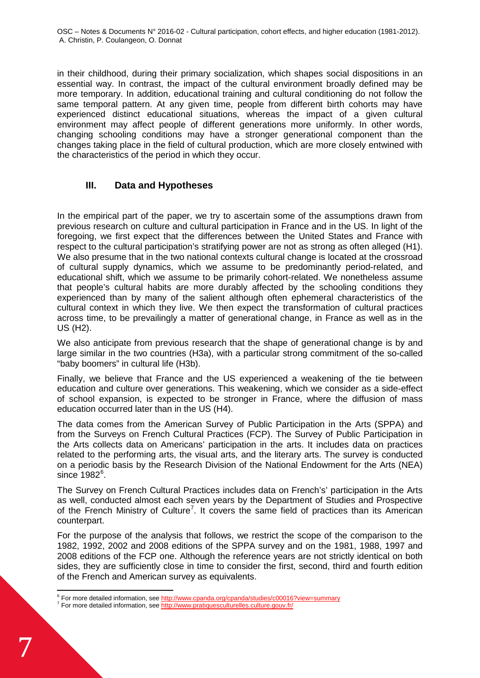in their childhood, during their primary socialization, which shapes social dispositions in an essential way. In contrast, the impact of the cultural environment broadly defined may be more temporary. In addition, educational training and cultural conditioning do not follow the same temporal pattern. At any given time, people from different birth cohorts may have experienced distinct educational situations, whereas the impact of a given cultural environment may affect people of different generations more uniformly. In other words, changing schooling conditions may have a stronger generational component than the changes taking place in the field of cultural production, which are more closely entwined with the characteristics of the period in which they occur.

#### **III. Data and Hypotheses**

In the empirical part of the paper, we try to ascertain some of the assumptions drawn from previous research on culture and cultural participation in France and in the US. In light of the foregoing, we first expect that the differences between the United States and France with respect to the cultural participation's stratifying power are not as strong as often alleged (H1). We also presume that in the two national contexts cultural change is located at the crossroad of cultural supply dynamics, which we assume to be predominantly period-related, and educational shift, which we assume to be primarily cohort-related. We nonetheless assume that people's cultural habits are more durably affected by the schooling conditions they experienced than by many of the salient although often ephemeral characteristics of the cultural context in which they live. We then expect the transformation of cultural practices across time, to be prevailingly a matter of generational change, in France as well as in the US (H2).

We also anticipate from previous research that the shape of generational change is by and large similar in the two countries (H3a), with a particular strong commitment of the so-called "baby boomers" in cultural life (H3b).

Finally, we believe that France and the US experienced a weakening of the tie between education and culture over generations. This weakening, which we consider as a side-effect of school expansion, is expected to be stronger in France, where the diffusion of mass education occurred later than in the US (H4).

The data comes from the American Survey of Public Participation in the Arts (SPPA) and from the Surveys on French Cultural Practices (FCP). The Survey of Public Participation in the Arts collects data on Americans' participation in the arts. It includes data on practices related to the performing arts, the visual arts, and the literary arts. The survey is conducted on a periodic basis by the Research Division of the National Endowment for the Arts (NEA) since  $1982^6$  $1982^6$ .

The Survey on French Cultural Practices includes data on French's' participation in the Arts as well, conducted almost each seven years by the Department of Studies and Prospective of the French Ministry of Culture<sup>[7](#page-8-1)</sup>. It covers the same field of practices than its American counterpart.

For the purpose of the analysis that follows, we restrict the scope of the comparison to the 1982, 1992, 2002 and 2008 editions of the SPPA survey and on the 1981, 1988, 1997 and 2008 editions of the FCP one. Although the reference years are not strictly identical on both sides, they are sufficiently close in time to consider the first, second, third and fourth edition of the French and American survey as equivalents.

**.** 

 $6$  For more detailed information, see<http://www.cpanda.org/cpanda/studies/c00016?view=summary>  $7$  For more detailed information, see<http://www.pratiquesculturelles.culture.gouv.fr/>

<span id="page-8-1"></span><span id="page-8-0"></span>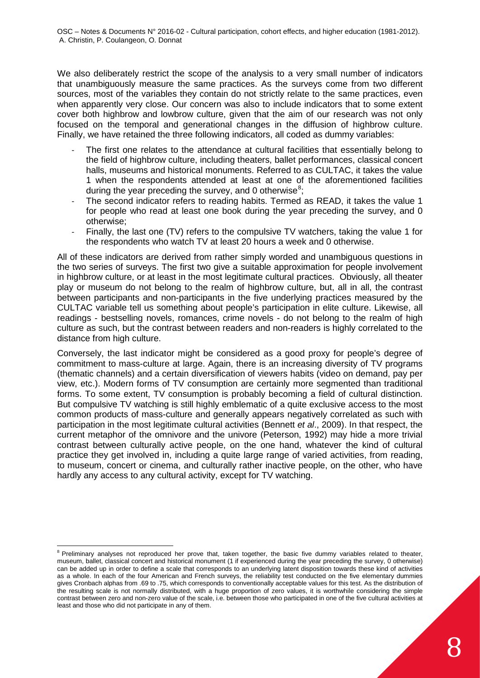We also deliberately restrict the scope of the analysis to a very small number of indicators that unambiguously measure the same practices. As the surveys come from two different sources, most of the variables they contain do not strictly relate to the same practices, even when apparently very close. Our concern was also to include indicators that to some extent cover both highbrow and lowbrow culture, given that the aim of our research was not only focused on the temporal and generational changes in the diffusion of highbrow culture. Finally, we have retained the three following indicators, all coded as dummy variables:

- The first one relates to the attendance at cultural facilities that essentially belong to the field of highbrow culture, including theaters, ballet performances, classical concert halls, museums and historical monuments. Referred to as CULTAC, it takes the value 1 when the respondents attended at least at one of the aforementioned facilities during the year preceding the survey, and 0 otherwise $s$ ;
- The second indicator refers to reading habits. Termed as READ, it takes the value 1 for people who read at least one book during the year preceding the survey, and 0 otherwise;
- Finally, the last one (TV) refers to the compulsive TV watchers, taking the value 1 for the respondents who watch TV at least 20 hours a week and 0 otherwise.

All of these indicators are derived from rather simply worded and unambiguous questions in the two series of surveys. The first two give a suitable approximation for people involvement in highbrow culture, or at least in the most legitimate cultural practices. Obviously, all theater play or museum do not belong to the realm of highbrow culture, but, all in all, the contrast between participants and non-participants in the five underlying practices measured by the CULTAC variable tell us something about people's participation in elite culture. Likewise, all readings - bestselling novels, romances, crime novels - do not belong to the realm of high culture as such, but the contrast between readers and non-readers is highly correlated to the distance from high culture.

Conversely, the last indicator might be considered as a good proxy for people's degree of commitment to mass-culture at large. Again, there is an increasing diversity of TV programs (thematic channels) and a certain diversification of viewers habits (video on demand, pay per view, etc.). Modern forms of TV consumption are certainly more segmented than traditional forms. To some extent, TV consumption is probably becoming a field of cultural distinction. But compulsive TV watching is still highly emblematic of a quite exclusive access to the most common products of mass-culture and generally appears negatively correlated as such with participation in the most legitimate cultural activities (Bennett *et al*., 2009). In that respect, the current metaphor of the omnivore and the univore (Peterson, 1992) may hide a more trivial contrast between culturally active people, on the one hand, whatever the kind of cultural practice they get involved in, including a quite large range of varied activities, from reading, to museum, concert or cinema, and culturally rather inactive people, on the other, who have hardly any access to any cultural activity, except for TV watching.

 $\overline{a}$ 

<span id="page-9-0"></span><sup>&</sup>lt;sup>8</sup> Preliminary analyses not reproduced her prove that, taken together, the basic five dummy variables related to theater, museum, ballet, classical concert and historical monument (1 if experienced during the year preceding the survey, 0 otherwise) can be added up in order to define a scale that corresponds to an underlying latent disposition towards these kind of activities as a whole. In each of the four American and French surveys, the reliability test conducted on the five elementary dummies gives Cronbach alphas from .69 to .75, which corresponds to conventionally acceptable values for this test. As the distribution of the resulting scale is not normally distributed, with a huge proportion of zero values, it is worthwhile considering the simple contrast between zero and non-zero value of the scale, i.e. between those who participated in one of the five cultural activities at least and those who did not participate in any of them.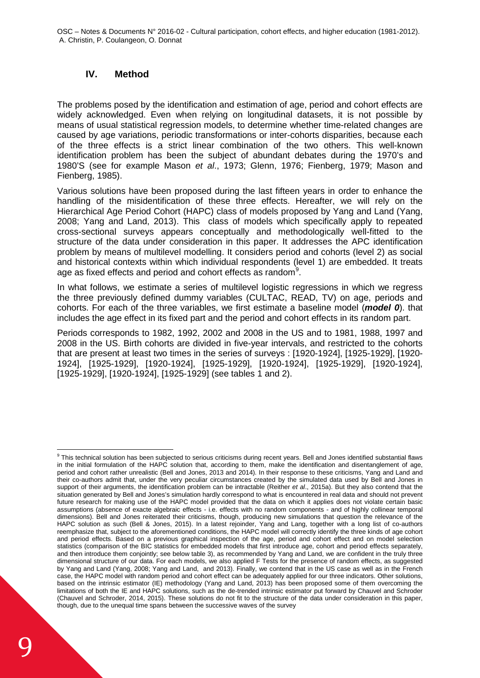#### **IV. Method**

The problems posed by the identification and estimation of age, period and cohort effects are widely acknowledged. Even when relying on longitudinal datasets, it is not possible by means of usual statistical regression models, to determine whether time-related changes are caused by age variations, periodic transformations or inter-cohorts disparities, because each of the three effects is a strict linear combination of the two others. This well-known identification problem has been the subject of abundant debates during the 1970's and 1980'S (see for example Mason *et al*., 1973; Glenn, 1976; Fienberg, 1979; Mason and Fienberg, 1985).

Various solutions have been proposed during the last fifteen years in order to enhance the handling of the misidentification of these three effects. Hereafter, we will rely on the Hierarchical Age Period Cohort (HAPC) class of models proposed by Yang and Land (Yang, 2008; Yang and Land, 2013). This class of models which specifically apply to repeated cross-sectional surveys appears conceptually and methodologically well-fitted to the structure of the data under consideration in this paper. It addresses the APC identification problem by means of multilevel modelling. It considers period and cohorts (level 2) as social and historical contexts within which individual respondents (level 1) are embedded. It treats age as fixed effects and period and cohort effects as random $^9$  $^9$ .

In what follows, we estimate a series of multilevel logistic regressions in which we regress the three previously defined dummy variables (CULTAC, READ, TV) on age, periods and cohorts. For each of the three variables, we first estimate a baseline model (*model 0*). that includes the age effect in its fixed part and the period and cohort effects in its random part.

Periods corresponds to 1982, 1992, 2002 and 2008 in the US and to 1981, 1988, 1997 and 2008 in the US. Birth cohorts are divided in five-year intervals, and restricted to the cohorts that are present at least two times in the series of surveys : [1920-1924], [1925-1929], [1920- 1924], [1925-1929], [1920-1924], [1925-1929], [1920-1924], [1925-1929], [1920-1924], [1925-1929], [1920-1924], [1925-1929] (see tables 1 and 2).

 $\overline{a}$ 

<span id="page-10-0"></span><sup>&</sup>lt;sup>9</sup> This technical solution has been subjected to serious criticisms during recent years. Bell and Jones identified substantial flaws in the initial formulation of the HAPC solution that, according to them, make the identification and disentanglement of age, period and cohort rather unrealistic (Bell and Jones, 2013 and 2014). In their response to these criticisms, Yang and Land and their co-authors admit that, under the very peculiar circumstances created by the simulated data used by Bell and Jones in support of their arguments, the identification problem can be intractable (Reither *et al*., 2015a). But they also contend that the situation generated by Bell and Jones's simulation hardly correspond to what is encountered in real data and should not prevent future research for making use of the HAPC model provided that the data on which it applies does not violate certain basic assumptions (absence of exacte algebraic effects - i.e. effects with no random components - and of highly collinear temporal dimensions). Bell and Jones reiterated their criticisms, though, producing new simulations that question the relevance of the HAPC solution as such (Bell & Jones, 2015). In a latest rejoinder, Yang and Lang, together with a long list of co-authors reemphasize that, subject to the aforementioned conditions, the HAPC model will correctly identify the three kinds of age cohort and period effects. Based on a previous graphical inspection of the age, period and cohort effect and on model selection statistics (comparison of the BIC statistics for embedded models that first introduce age, cohort and period effects separately, and then introduce them conjointly; see below table 3), as recommended by Yang and Land, we are confident in the truly three dimensional structure of our data. For each models, we also applied F Tests for the presence of random effects, as suggested by Yang and Land (Yang, 2008; Yang and Land, and 2013). Finally, we contend that in the US case as well as in the French case, the HAPC model with random period and cohort effect can be adequately applied for our three indicators. Other solutions, based on the intrinsic estimator (IE) methodology (Yang and Land, 2013) has been proposed some of them overcoming the limitations of both the IE and HAPC solutions, such as the de-trended intrinsic estimator put forward by Chauvel and Schroder (Chauvel and Schroder, 2014, 2015). These solutions do not fit to the structure of the data under consideration in this paper, though, due to the unequal time spans between the successive waves of the survey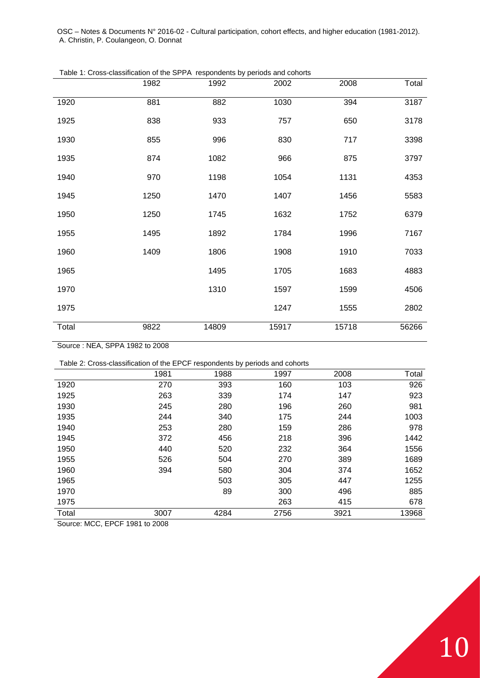|       | chacomodilent of the orient recoperability polices<br>1982 | 1992  | 2002  | 2008  | Total |
|-------|------------------------------------------------------------|-------|-------|-------|-------|
| 1920  | 881                                                        | 882   | 1030  | 394   | 3187  |
| 1925  | 838                                                        | 933   | 757   | 650   | 3178  |
| 1930  | 855                                                        | 996   | 830   | 717   | 3398  |
| 1935  | 874                                                        | 1082  | 966   | 875   | 3797  |
| 1940  | 970                                                        | 1198  | 1054  | 1131  | 4353  |
| 1945  | 1250                                                       | 1470  | 1407  | 1456  | 5583  |
| 1950  | 1250                                                       | 1745  | 1632  | 1752  | 6379  |
| 1955  | 1495                                                       | 1892  | 1784  | 1996  | 7167  |
| 1960  | 1409                                                       | 1806  | 1908  | 1910  | 7033  |
| 1965  |                                                            | 1495  | 1705  | 1683  | 4883  |
| 1970  |                                                            | 1310  | 1597  | 1599  | 4506  |
| 1975  |                                                            |       | 1247  | 1555  | 2802  |
| Total | 9822                                                       | 14809 | 15917 | 15718 | 56266 |

| Table 1: Cross-classification of the SPPA respondents by periods and cohorts |  |
|------------------------------------------------------------------------------|--|
|------------------------------------------------------------------------------|--|

Source : NEA, SPPA 1982 to 2008

|  | Table 2: Cross-classification of the EPCF respondents by periods and cohorts |
|--|------------------------------------------------------------------------------|
|--|------------------------------------------------------------------------------|

|       | 1981 | 1988 | 1997 | 2008 | Total |
|-------|------|------|------|------|-------|
| 1920  | 270  | 393  | 160  | 103  | 926   |
| 1925  | 263  | 339  | 174  | 147  | 923   |
| 1930  | 245  | 280  | 196  | 260  | 981   |
| 1935  | 244  | 340  | 175  | 244  | 1003  |
| 1940  | 253  | 280  | 159  | 286  | 978   |
| 1945  | 372  | 456  | 218  | 396  | 1442  |
| 1950  | 440  | 520  | 232  | 364  | 1556  |
| 1955  | 526  | 504  | 270  | 389  | 1689  |
| 1960  | 394  | 580  | 304  | 374  | 1652  |
| 1965  |      | 503  | 305  | 447  | 1255  |
| 1970  |      | 89   | 300  | 496  | 885   |
| 1975  |      |      | 263  | 415  | 678   |
| Total | 3007 | 4284 | 2756 | 3921 | 13968 |

Source: MCC, EPCF 1981 to 2008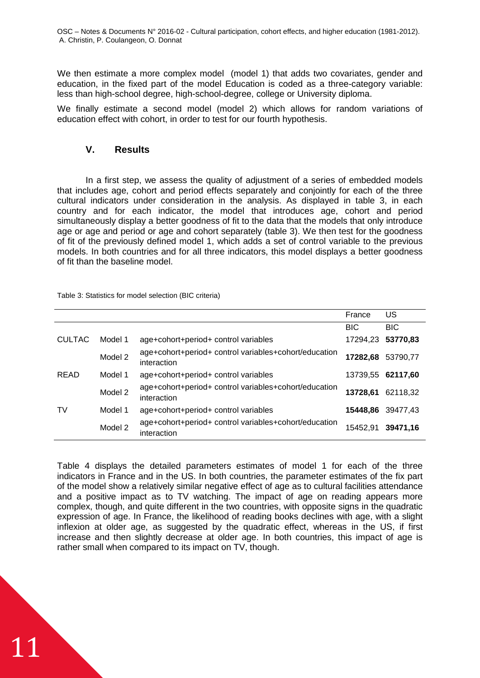We then estimate a more complex model (model 1) that adds two covariates, gender and education, in the fixed part of the model Education is coded as a three-category variable: less than high-school degree, high-school-degree, college or University diploma.

We finally estimate a second model (model 2) which allows for random variations of education effect with cohort, in order to test for our fourth hypothesis.

#### **V. Results**

In a first step, we assess the quality of adjustment of a series of embedded models that includes age, cohort and period effects separately and conjointly for each of the three cultural indicators under consideration in the analysis. As displayed in table 3, in each country and for each indicator, the model that introduces age, cohort and period simultaneously display a better goodness of fit to the data that the models that only introduce age or age and period or age and cohort separately (table 3). We then test for the goodness of fit of the previously defined model 1, which adds a set of control variable to the previous models. In both countries and for all three indicators, this model displays a better goodness of fit than the baseline model.

|               |         |                                                                      | France            | US.        |
|---------------|---------|----------------------------------------------------------------------|-------------------|------------|
|               |         |                                                                      | <b>BIC</b>        | <b>BIC</b> |
| <b>CULTAC</b> | Model 1 | age+cohort+period+ control variables                                 | 17294,23          | 53770,83   |
|               | Model 2 | age+cohort+period+ control variables+cohort/education<br>interaction | 17282,68          | 53790.77   |
| <b>READ</b>   | Model 1 | age+cohort+period+ control variables                                 | 13739,55 62117,60 |            |
|               | Model 2 | age+cohort+period+ control variables+cohort/education<br>interaction | 13728,61          | 62118,32   |
| TV            | Model 1 | age+cohort+period+ control variables                                 | 15448,86          | 39477,43   |
|               | Model 2 | age+cohort+period+ control variables+cohort/education<br>interaction | 15452,91          | 39471.16   |

Table 3: Statistics for model selection (BIC criteria)

Table 4 displays the detailed parameters estimates of model 1 for each of the three indicators in France and in the US. In both countries, the parameter estimates of the fix part of the model show a relatively similar negative effect of age as to cultural facilities attendance and a positive impact as to TV watching. The impact of age on reading appears more complex, though, and quite different in the two countries, with opposite signs in the quadratic expression of age. In France, the likelihood of reading books declines with age, with a slight inflexion at older age, as suggested by the quadratic effect, whereas in the US, if first increase and then slightly decrease at older age. In both countries, this impact of age is rather small when compared to its impact on TV, though.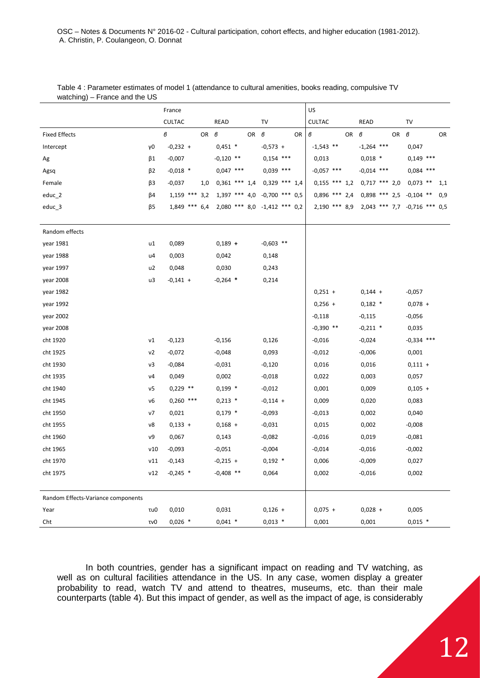|                                    |     | France          |            |                 |             |                              |    | US              |            |                              |             |                         |     |
|------------------------------------|-----|-----------------|------------|-----------------|-------------|------------------------------|----|-----------------|------------|------------------------------|-------------|-------------------------|-----|
|                                    |     | CULTAC          |            | <b>READ</b>     |             | TV                           |    | <b>CULTAC</b>   |            | READ                         |             | TV                      |     |
| <b>Fixed Effects</b>               |     | $\pmb{\beta}$   | OR $\beta$ |                 | OR $\theta$ |                              | OR | в               | OR $\beta$ |                              | OR $\theta$ |                         | OR  |
| Intercept                          | γ0  | $-0,232 +$      |            | $0,451$ *       |             | $-0,573 +$                   |    | $-1,543$ **     |            | $-1,264$ ***                 |             | 0,047                   |     |
| Ag                                 | β1  | $-0,007$        |            | $-0,120$ **     |             | $0,154$ ***                  |    | 0,013           |            | $0,018$ *                    |             | $0,149$ ***             |     |
| Agsq                               | β2  | $-0,018$ *      |            | $0,047$ ***     |             | $0,039$ ***                  |    | $-0,057$ ***    |            | $-0.014$ ***                 |             | $0,084$ ***             |     |
| Female                             | β3  | $-0,037$        | 1,0        | $0,361$ *** 1,4 |             | $0.329$ *** 1.4              |    | $0,155$ *** 1,2 |            | $0.717$ *** 2.0              |             | $0,073$ **              | 1,1 |
| educ_2                             | β4  | $1,159$ *** 3,2 |            |                 |             | 1,397 *** 4,0 -0,700 *** 0,5 |    | $0,896$ *** 2,4 |            |                              |             | 0,898 *** 2,5 -0,104 ** | 0,9 |
| educ_3                             | β5  | $1,849$ *** 6,4 |            |                 |             | 2,080 *** 8,0 -1,412 *** 0,2 |    | $2,190$ *** 8,9 |            | 2,043 *** 7,7 -0,716 *** 0,5 |             |                         |     |
|                                    |     |                 |            |                 |             |                              |    |                 |            |                              |             |                         |     |
| Random effects                     |     |                 |            |                 |             |                              |    |                 |            |                              |             |                         |     |
| year 1981                          | u1  | 0,089           |            | $0,189 +$       |             | $-0,603$ **                  |    |                 |            |                              |             |                         |     |
| year 1988                          | u4  | 0,003           |            | 0,042           |             | 0,148                        |    |                 |            |                              |             |                         |     |
| year 1997                          | u2  | 0,048           |            | 0,030           |             | 0,243                        |    |                 |            |                              |             |                         |     |
| year 2008                          | u3  | $-0,141 +$      |            | $-0,264$ *      |             | 0,214                        |    |                 |            |                              |             |                         |     |
| year 1982                          |     |                 |            |                 |             |                              |    | $0,251 +$       |            | $0,144 +$                    |             | $-0,057$                |     |
| year 1992                          |     |                 |            |                 |             |                              |    | $0,256 +$       |            | $0,182$ *                    |             | $0,078 +$               |     |
| year 2002                          |     |                 |            |                 |             |                              |    | $-0,118$        |            | $-0,115$                     |             | $-0,056$                |     |
| year 2008                          |     |                 |            |                 |             |                              |    | $-0,390$ **     |            | $-0,211$ *                   |             | 0,035                   |     |
| cht 1920                           | v1  | $-0,123$        |            | $-0,156$        |             | 0,126                        |    | $-0,016$        |            | $-0,024$                     |             | $-0,334$ ***            |     |
| cht 1925                           | v2  | $-0,072$        |            | $-0,048$        |             | 0,093                        |    | $-0,012$        |            | $-0,006$                     |             | 0,001                   |     |
| cht 1930                           | v3  | $-0,084$        |            | $-0,031$        |             | $-0,120$                     |    | 0,016           |            | 0,016                        |             | $0,111 +$               |     |
| cht 1935                           | ν4  | 0,049           |            | 0,002           |             | $-0,018$                     |    | 0,022           |            | 0,003                        |             | 0,057                   |     |
| cht 1940                           | v5  | $0,229$ **      |            | $0,199$ *       |             | $-0,012$                     |    | 0,001           |            | 0,009                        |             | $0,105 +$               |     |
| cht 1945                           | ν6  | $0,260$ ***     |            | $0,213$ *       |             | $-0,114 +$                   |    | 0,009           |            | 0,020                        |             | 0,083                   |     |
| cht 1950                           | ν7  | 0,021           |            | $0,179$ *       |             | $-0,093$                     |    | $-0,013$        |            | 0,002                        |             | 0,040                   |     |
| cht 1955                           | ν8  | $0,133 +$       |            | $0,168 +$       |             | $-0,031$                     |    | 0,015           |            | 0,002                        |             | $-0,008$                |     |
| cht 1960                           | ν9  | 0,067           |            | 0,143           |             | $-0,082$                     |    | $-0,016$        |            | 0,019                        |             | $-0,081$                |     |
| cht 1965                           | v10 | $-0,093$        |            | $-0,051$        |             | $-0,004$                     |    | $-0,014$        |            | $-0,016$                     |             | $-0,002$                |     |
| cht 1970                           | v11 | $-0,143$        |            | $-0,215 +$      |             | $0,192$ *                    |    | 0,006           |            | $-0,009$                     |             | 0,027                   |     |
| cht 1975                           | v12 | $-0,245$ *      |            | $-0,408$ **     |             | 0,064                        |    | 0,002           |            | $-0,016$                     |             | 0,002                   |     |
|                                    |     |                 |            |                 |             |                              |    |                 |            |                              |             |                         |     |
| Random Effects-Variance components |     |                 |            |                 |             |                              |    |                 |            |                              |             |                         |     |
| Year                               | τu0 | 0,010           |            | 0,031           |             | $0,126 +$                    |    | $0,075 +$       |            | $0,028 +$                    |             | 0,005                   |     |
| Cht                                | τνΟ | $0,026$ *       |            | $0,041$ *       |             | $0,013$ *                    |    | 0,001           |            | 0,001                        |             | $0,015$ *               |     |

Table 4 : Parameter estimates of model 1 (attendance to cultural amenities, books reading, compulsive TV watching) – France and the US

In both countries, gender has a significant impact on reading and TV watching, as well as on cultural facilities attendance in the US. In any case, women display a greater probability to read, watch TV and attend to theatres, museums, etc. than their male counterparts (table 4). But this impact of gender, as well as the impact of age, is considerably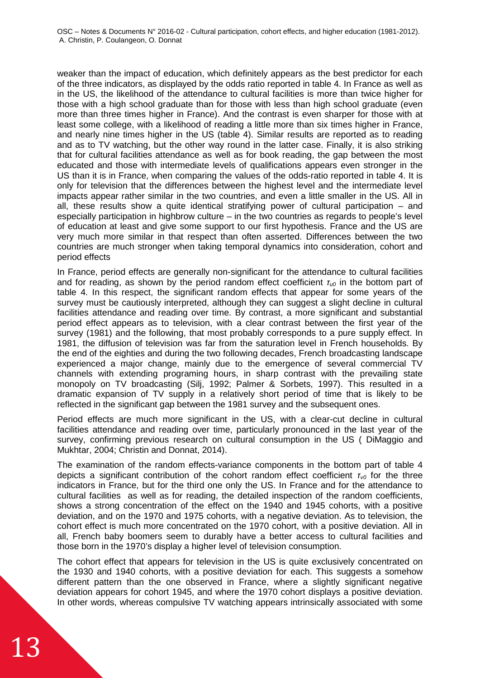weaker than the impact of education, which definitely appears as the best predictor for each of the three indicators, as displayed by the odds ratio reported in table 4. In France as well as in the US, the likelihood of the attendance to cultural facilities is more than twice higher for those with a high school graduate than for those with less than high school graduate (even more than three times higher in France). And the contrast is even sharper for those with at least some college, with a likelihood of reading a little more than six times higher in France, and nearly nine times higher in the US (table 4). Similar results are reported as to reading and as to TV watching, but the other way round in the latter case. Finally, it is also striking that for cultural facilities attendance as well as for book reading, the gap between the most educated and those with intermediate levels of qualifications appears even stronger in the US than it is in France, when comparing the values of the odds-ratio reported in table 4. It is only for television that the differences between the highest level and the intermediate level impacts appear rather similar in the two countries, and even a little smaller in the US. All in all, these results show a quite identical stratifying power of cultural participation – and especially participation in highbrow culture – in the two countries as regards to people's level of education at least and give some support to our first hypothesis. France and the US are very much more similar in that respect than often asserted. Differences between the two countries are much stronger when taking temporal dynamics into consideration, cohort and period effects

In France, period effects are generally non-significant for the attendance to cultural facilities and for reading, as shown by the period random effect coefficient *τu0* in the bottom part of table 4. In this respect, the significant random effects that appear for some years of the survey must be cautiously interpreted, although they can suggest a slight decline in cultural facilities attendance and reading over time. By contrast, a more significant and substantial period effect appears as to television, with a clear contrast between the first year of the survey (1981) and the following, that most probably corresponds to a pure supply effect. In 1981, the diffusion of television was far from the saturation level in French households. By the end of the eighties and during the two following decades, French broadcasting landscape experienced a major change, mainly due to the emergence of several commercial TV channels with extending programing hours, in sharp contrast with the prevailing state monopoly on TV broadcasting (Silj, 1992; Palmer & Sorbets, 1997). This resulted in a dramatic expansion of TV supply in a relatively short period of time that is likely to be reflected in the significant gap between the 1981 survey and the subsequent ones.

Period effects are much more significant in the US, with a clear-cut decline in cultural facilities attendance and reading over time, particularly pronounced in the last year of the survey, confirming previous research on cultural consumption in the US ( DiMaggio and Mukhtar, 2004; Christin and Donnat, 2014).

The examination of the random effects-variance components in the bottom part of table 4 depicts a significant contribution of the cohort random effect coefficient *τ<sub>ν0</sub>* for the three indicators in France, but for the third one only the US. In France and for the attendance to cultural facilities as well as for reading, the detailed inspection of the random coefficients, shows a strong concentration of the effect on the 1940 and 1945 cohorts, with a positive deviation, and on the 1970 and 1975 cohorts, with a negative deviation. As to television, the cohort effect is much more concentrated on the 1970 cohort, with a positive deviation. All in all, French baby boomers seem to durably have a better access to cultural facilities and those born in the 1970's display a higher level of television consumption.

The cohort effect that appears for television in the US is quite exclusively concentrated on the 1930 and 1940 cohorts, with a positive deviation for each. This suggests a somehow different pattern than the one observed in France, where a slightly significant negative deviation appears for cohort 1945, and where the 1970 cohort displays a positive deviation. In other words, whereas compulsive TV watching appears intrinsically associated with some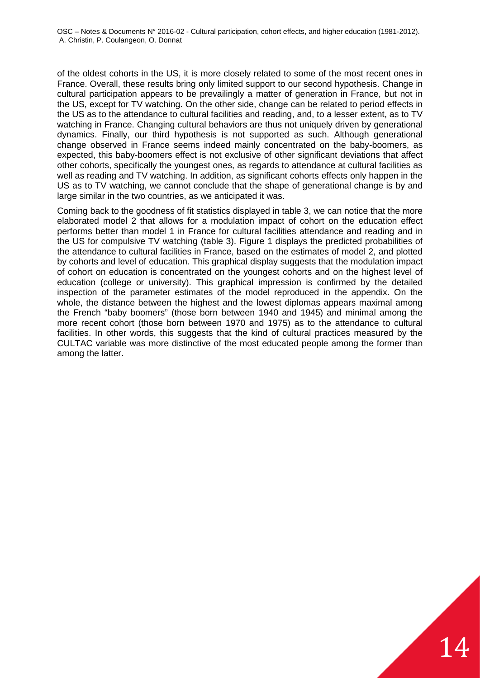of the oldest cohorts in the US, it is more closely related to some of the most recent ones in France. Overall, these results bring only limited support to our second hypothesis. Change in cultural participation appears to be prevailingly a matter of generation in France, but not in the US, except for TV watching. On the other side, change can be related to period effects in the US as to the attendance to cultural facilities and reading, and, to a lesser extent, as to TV watching in France. Changing cultural behaviors are thus not uniquely driven by generational dynamics. Finally, our third hypothesis is not supported as such. Although generational change observed in France seems indeed mainly concentrated on the baby-boomers, as expected, this baby-boomers effect is not exclusive of other significant deviations that affect other cohorts, specifically the youngest ones, as regards to attendance at cultural facilities as well as reading and TV watching. In addition, as significant cohorts effects only happen in the US as to TV watching, we cannot conclude that the shape of generational change is by and large similar in the two countries, as we anticipated it was.

Coming back to the goodness of fit statistics displayed in table 3, we can notice that the more elaborated model 2 that allows for a modulation impact of cohort on the education effect performs better than model 1 in France for cultural facilities attendance and reading and in the US for compulsive TV watching (table 3). Figure 1 displays the predicted probabilities of the attendance to cultural facilities in France, based on the estimates of model 2, and plotted by cohorts and level of education. This graphical display suggests that the modulation impact of cohort on education is concentrated on the youngest cohorts and on the highest level of education (college or university). This graphical impression is confirmed by the detailed inspection of the parameter estimates of the model reproduced in the appendix. On the whole, the distance between the highest and the lowest diplomas appears maximal among the French "baby boomers" (those born between 1940 and 1945) and minimal among the more recent cohort (those born between 1970 and 1975) as to the attendance to cultural facilities. In other words, this suggests that the kind of cultural practices measured by the CULTAC variable was more distinctive of the most educated people among the former than among the latter.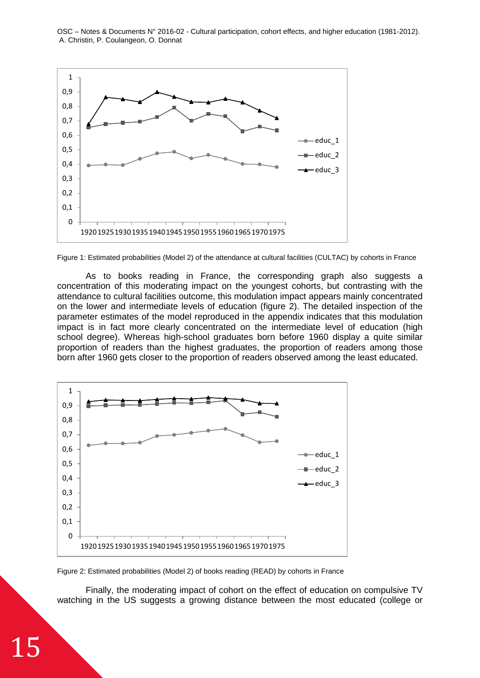

Figure 1: Estimated probabilities (Model 2) of the attendance at cultural facilities (CULTAC) by cohorts in France

As to books reading in France, the corresponding graph also suggests a concentration of this moderating impact on the youngest cohorts, but contrasting with the attendance to cultural facilities outcome, this modulation impact appears mainly concentrated on the lower and intermediate levels of education (figure 2). The detailed inspection of the parameter estimates of the model reproduced in the appendix indicates that this modulation impact is in fact more clearly concentrated on the intermediate level of education (high school degree). Whereas high-school graduates born before 1960 display a quite similar proportion of readers than the highest graduates, the proportion of readers among those born after 1960 gets closer to the proportion of readers observed among the least educated.



Figure 2: Estimated probabilities (Model 2) of books reading (READ) by cohorts in France

Finally, the moderating impact of cohort on the effect of education on compulsive TV watching in the US suggests a growing distance between the most educated (college or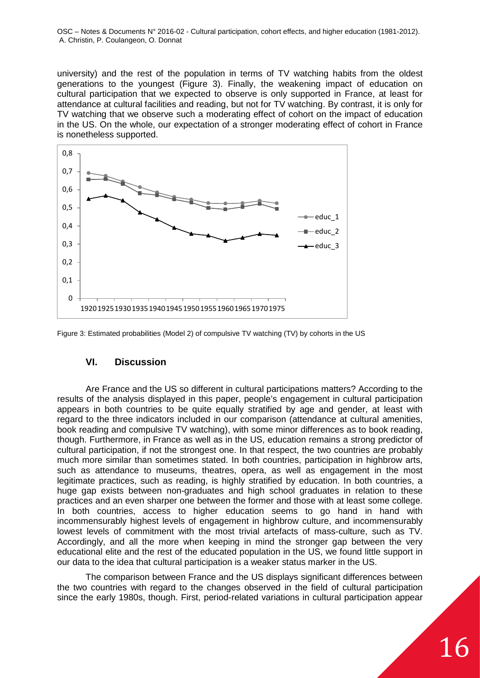university) and the rest of the population in terms of TV watching habits from the oldest generations to the youngest (Figure 3). Finally, the weakening impact of education on cultural participation that we expected to observe is only supported in France, at least for attendance at cultural facilities and reading, but not for TV watching. By contrast, it is only for TV watching that we observe such a moderating effect of cohort on the impact of education in the US. On the whole, our expectation of a stronger moderating effect of cohort in France is nonetheless supported.



Figure 3: Estimated probabilities (Model 2) of compulsive TV watching (TV) by cohorts in the US

#### **VI. Discussion**

Are France and the US so different in cultural participations matters? According to the results of the analysis displayed in this paper, people's engagement in cultural participation appears in both countries to be quite equally stratified by age and gender, at least with regard to the three indicators included in our comparison (attendance at cultural amenities, book reading and compulsive TV watching), with some minor differences as to book reading, though. Furthermore, in France as well as in the US, education remains a strong predictor of cultural participation, if not the strongest one. In that respect, the two countries are probably much more similar than sometimes stated. In both countries, participation in highbrow arts, such as attendance to museums, theatres, opera, as well as engagement in the most legitimate practices, such as reading, is highly stratified by education. In both countries, a huge gap exists between non-graduates and high school graduates in relation to these practices and an even sharper one between the former and those with at least some college. In both countries, access to higher education seems to go hand in hand with incommensurably highest levels of engagement in highbrow culture, and incommensurably lowest levels of commitment with the most trivial artefacts of mass-culture, such as TV. Accordingly, and all the more when keeping in mind the stronger gap between the very educational elite and the rest of the educated population in the US, we found little support in our data to the idea that cultural participation is a weaker status marker in the US.

The comparison between France and the US displays significant differences between the two countries with regard to the changes observed in the field of cultural participation since the early 1980s, though. First, period-related variations in cultural participation appear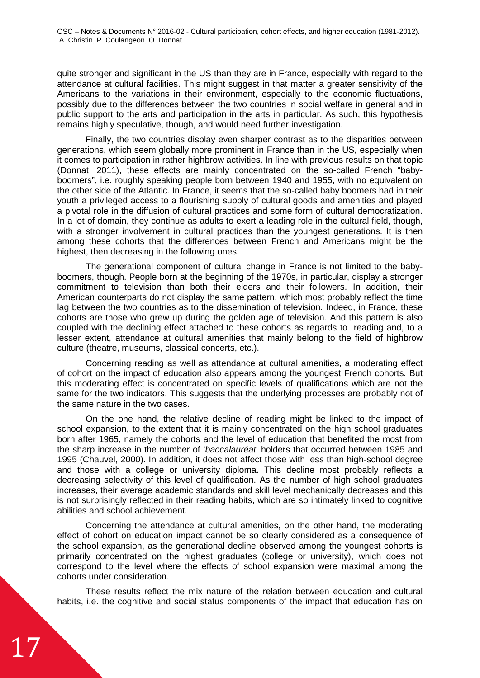quite stronger and significant in the US than they are in France, especially with regard to the attendance at cultural facilities. This might suggest in that matter a greater sensitivity of the Americans to the variations in their environment, especially to the economic fluctuations, possibly due to the differences between the two countries in social welfare in general and in public support to the arts and participation in the arts in particular. As such, this hypothesis remains highly speculative, though, and would need further investigation.

Finally, the two countries display even sharper contrast as to the disparities between generations, which seem globally more prominent in France than in the US, especially when it comes to participation in rather highbrow activities. In line with previous results on that topic (Donnat, 2011), these effects are mainly concentrated on the so-called French "babyboomers", i.e. roughly speaking people born between 1940 and 1955, with no equivalent on the other side of the Atlantic. In France, it seems that the so-called baby boomers had in their youth a privileged access to a flourishing supply of cultural goods and amenities and played a pivotal role in the diffusion of cultural practices and some form of cultural democratization. In a lot of domain, they continue as adults to exert a leading role in the cultural field, though, with a stronger involvement in cultural practices than the youngest generations. It is then among these cohorts that the differences between French and Americans might be the highest, then decreasing in the following ones.

The generational component of cultural change in France is not limited to the babyboomers, though. People born at the beginning of the 1970s, in particular, display a stronger commitment to television than both their elders and their followers. In addition, their American counterparts do not display the same pattern, which most probably reflect the time lag between the two countries as to the dissemination of television. Indeed, in France, these cohorts are those who grew up during the golden age of television. And this pattern is also coupled with the declining effect attached to these cohorts as regards to reading and, to a lesser extent, attendance at cultural amenities that mainly belong to the field of highbrow culture (theatre, museums, classical concerts, etc.).

Concerning reading as well as attendance at cultural amenities, a moderating effect of cohort on the impact of education also appears among the youngest French cohorts. But this moderating effect is concentrated on specific levels of qualifications which are not the same for the two indicators. This suggests that the underlying processes are probably not of the same nature in the two cases.

On the one hand, the relative decline of reading might be linked to the impact of school expansion, to the extent that it is mainly concentrated on the high school graduates born after 1965, namely the cohorts and the level of education that benefited the most from the sharp increase in the number of '*baccalauréat*' holders that occurred between 1985 and 1995 (Chauvel, 2000). In addition, it does not affect those with less than high-school degree and those with a college or university diploma. This decline most probably reflects a decreasing selectivity of this level of qualification. As the number of high school graduates increases, their average academic standards and skill level mechanically decreases and this is not surprisingly reflected in their reading habits, which are so intimately linked to cognitive abilities and school achievement.

Concerning the attendance at cultural amenities, on the other hand, the moderating effect of cohort on education impact cannot be so clearly considered as a consequence of the school expansion, as the generational decline observed among the youngest cohorts is primarily concentrated on the highest graduates (college or university), which does not correspond to the level where the effects of school expansion were maximal among the cohorts under consideration.

These results reflect the mix nature of the relation between education and cultural habits, i.e. the cognitive and social status components of the impact that education has on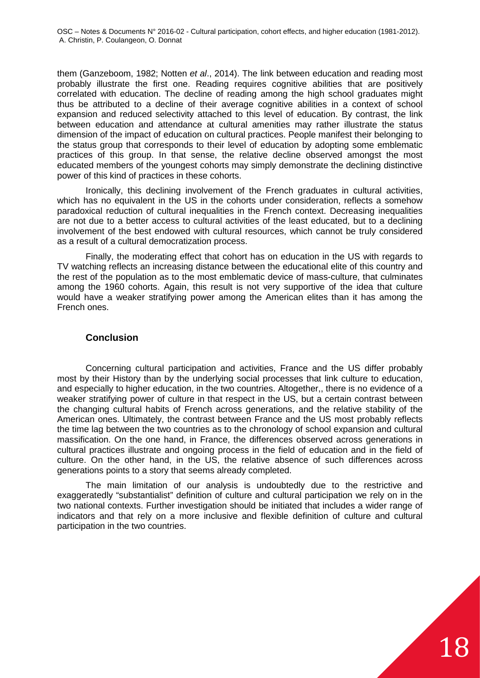them (Ganzeboom, 1982; Notten *et al*., 2014). The link between education and reading most probably illustrate the first one. Reading requires cognitive abilities that are positively correlated with education. The decline of reading among the high school graduates might thus be attributed to a decline of their average cognitive abilities in a context of school expansion and reduced selectivity attached to this level of education. By contrast, the link between education and attendance at cultural amenities may rather illustrate the status dimension of the impact of education on cultural practices. People manifest their belonging to the status group that corresponds to their level of education by adopting some emblematic practices of this group. In that sense, the relative decline observed amongst the most educated members of the youngest cohorts may simply demonstrate the declining distinctive power of this kind of practices in these cohorts.

Ironically, this declining involvement of the French graduates in cultural activities, which has no equivalent in the US in the cohorts under consideration, reflects a somehow paradoxical reduction of cultural inequalities in the French context. Decreasing inequalities are not due to a better access to cultural activities of the least educated, but to a declining involvement of the best endowed with cultural resources, which cannot be truly considered as a result of a cultural democratization process.

Finally, the moderating effect that cohort has on education in the US with regards to TV watching reflects an increasing distance between the educational elite of this country and the rest of the population as to the most emblematic device of mass-culture, that culminates among the 1960 cohorts. Again, this result is not very supportive of the idea that culture would have a weaker stratifying power among the American elites than it has among the French ones.

#### **Conclusion**

Concerning cultural participation and activities, France and the US differ probably most by their History than by the underlying social processes that link culture to education, and especially to higher education, in the two countries. Altogether,, there is no evidence of a weaker stratifying power of culture in that respect in the US, but a certain contrast between the changing cultural habits of French across generations, and the relative stability of the American ones. Ultimately, the contrast between France and the US most probably reflects the time lag between the two countries as to the chronology of school expansion and cultural massification. On the one hand, in France, the differences observed across generations in cultural practices illustrate and ongoing process in the field of education and in the field of culture. On the other hand, in the US, the relative absence of such differences across generations points to a story that seems already completed.

The main limitation of our analysis is undoubtedly due to the restrictive and exaggeratedly "substantialist" definition of culture and cultural participation we rely on in the two national contexts. Further investigation should be initiated that includes a wider range of indicators and that rely on a more inclusive and flexible definition of culture and cultural participation in the two countries.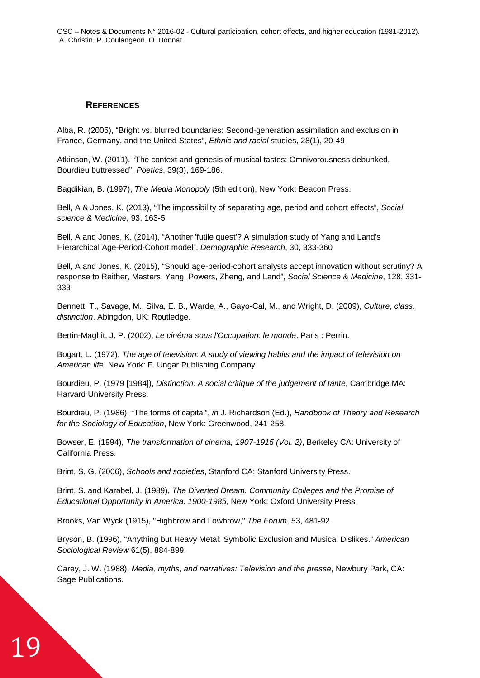#### **REFERENCES**

Alba, R. (2005), "Bright vs. blurred boundaries: Second-generation assimilation and exclusion in France, Germany, and the United States", *Ethnic and racial s*tudies, 28(1), 20-49

Atkinson, W. (2011), "The context and genesis of musical tastes: Omnivorousness debunked, Bourdieu buttressed", *Poetics*, 39(3), 169-186.

Bagdikian, B. (1997), *The Media Monopoly* (5th edition), New York: Beacon Press.

Bell, A & Jones, K. (2013), "The impossibility of separating age, period and cohort effects", *Social science & Medicine*, 93, 163-5.

Bell, A and Jones, K. (2014), "Another 'futile quest'? A simulation study of Yang and Land's Hierarchical Age-Period-Cohort model", *Demographic Research*, 30, 333-360

Bell, A and Jones, K. (2015), "Should age-period-cohort analysts accept innovation without scrutiny? A response to Reither, Masters, Yang, Powers, Zheng, and Land", *Social Science & Medicine*, 128, 331- 333

Bennett, T., Savage, M., Silva, E. B., Warde, A., Gayo-Cal, M., and Wright, D. (2009), *Culture, class, distinction*, Abingdon, UK: Routledge.

Bertin-Maghit, J. P. (2002), *Le cinéma sous l'Occupation: le monde*. Paris : Perrin.

Bogart, L. (1972), *The age of television: A study of viewing habits and the impact of television on American life*, New York: F. Ungar Publishing Company.

Bourdieu, P. (1979 [1984]), *Distinction: A social critique of the judgement of tante*, Cambridge MA: Harvard University Press.

Bourdieu, P. (1986), "The forms of capital", *in* J. Richardson (Ed.), *Handbook of Theory and Research for the Sociology of Education*, New York: Greenwood, 241-258.

Bowser, E. (1994), *The transformation of cinema, 1907-1915 (Vol. 2)*, Berkeley CA: University of California Press.

Brint, S. G. (2006), *Schools and societies*, Stanford CA: Stanford University Press.

Brint, S. and Karabel, J. (1989), *The Diverted Dream. Community Colleges and the Promise of Educational Opportunity in America, 1900-1985*, New York: Oxford University Press.

Brooks, Van Wyck (1915), "Highbrow and Lowbrow," *The Forum*, 53, 481-92.

Bryson, B. (1996), "Anything but Heavy Metal: Symbolic Exclusion and Musical Dislikes." *American Sociological Review* 61(5), 884-899.

Carey, J. W. (1988), *Media, myths, and narratives: Television and the presse*, Newbury Park, CA: Sage Publications.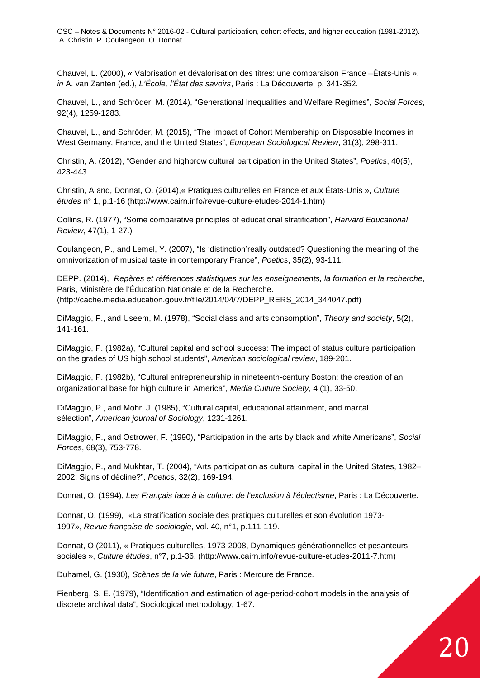Chauvel, L. (2000), « Valorisation et dévalorisation des titres: une comparaison France –États-Unis », *in* A. van Zanten (ed.), *L'École, l'État des savoirs*, Paris : La Découverte, p. 341-352.

Chauvel, L., and Schröder, M. (2014), "Generational Inequalities and Welfare Regimes", *Social Forces*, 92(4), 1259-1283.

Chauvel, L., and Schröder, M. (2015), "The Impact of Cohort Membership on Disposable Incomes in West Germany, France, and the United States", *European Sociological Review*, 31(3), 298-311.

Christin, A. (2012), "Gender and highbrow cultural participation in the United States", *Poetics*, 40(5), 423-443.

Christin, A and, Donnat, O. (2014),« Pratiques culturelles en France et aux États-Unis », *Culture études* n° 1, p.1-16 (http://www.cairn.info/revue-culture-etudes-2014-1.htm)

Collins, R. (1977), "Some comparative principles of educational stratification", *Harvard Educational Review*, 47(1), 1-27.)

Coulangeon, P., and Lemel, Y. (2007), "Is 'distinction'really outdated? Questioning the meaning of the omnivorization of musical taste in contemporary France", *Poetics*, 35(2), 93-111.

DEPP. (2014), *Repères et références statistiques sur les enseignements, la formation et la recherche*, Paris, Ministère de l'Éducation Nationale et de la Recherche. (http://cache.media.education.gouv.fr/file/2014/04/7/DEPP\_RERS\_2014\_344047.pdf)

DiMaggio, P., and Useem, M. (1978), "Social class and arts consomption", *Theory and society*, 5(2), 141-161.

DiMaggio, P. (1982a), "Cultural capital and school success: The impact of status culture participation on the grades of US high school students", *American sociological review*, 189-201.

DiMaggio, P. (1982b), "Cultural entrepreneurship in nineteenth-century Boston: the creation of an organizational base for high culture in America", *Media Culture Society*, 4 (1), 33-50.

DiMaggio, P., and Mohr, J. (1985), "Cultural capital, educational attainment, and marital sélection", *American journal of Sociology*, 1231-1261.

DiMaggio, P., and Ostrower, F. (1990), "Participation in the arts by black and white Americans", *Social Forces*, 68(3), 753-778.

DiMaggio, P., and Mukhtar, T. (2004), "Arts participation as cultural capital in the United States, 1982– 2002: Signs of décline?", *Poetics*, 32(2), 169-194.

Donnat, O. (1994), *Les Français face à la culture: de l'exclusion à l'éclectisme*, Paris : La Découverte.

Donnat, O. (1999), «La stratification sociale des pratiques culturelles et son évolution 1973- 1997», *Revue française de sociologie*, vol. 40, n°1, p.111-119.

Donnat, O (2011), « Pratiques culturelles, 1973-2008, Dynamiques générationnelles et pesanteurs sociales », *Culture études*, n°7, p.1-36. (http://www.cairn.info/revue-culture-etudes-2011-7.htm)

Duhamel, G. (1930), *Scènes de la vie future*, Paris : Mercure de France.

Fienberg, S. E. (1979), "Identification and estimation of age-period-cohort models in the analysis of discrete archival data", Sociological methodology, 1-67.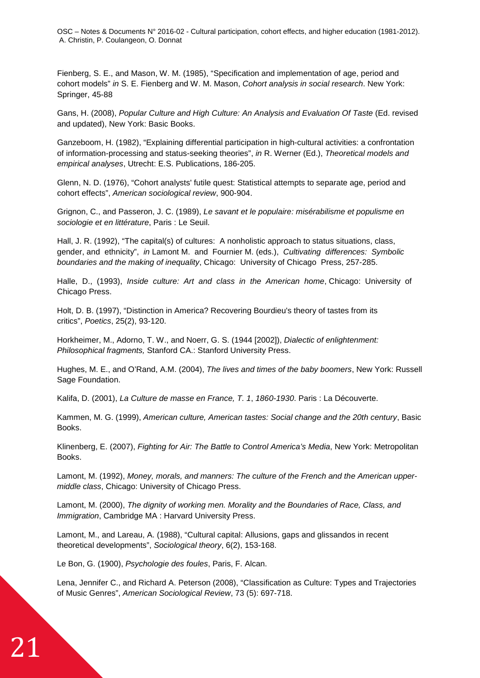Fienberg, S. E., and Mason, W. M. (1985), "Specification and implementation of age, period and cohort models" *in* S. E. Fienberg and W. M. Mason, *Cohort analysis in social research*. New York: Springer, 45-88

Gans, H. (2008), *Popular Culture and High Culture: An Analysis and Evaluation Of Taste* (Ed. revised and updated), New York: Basic Books.

Ganzeboom, H. (1982), "Explaining differential participation in high-cultural activities: a confrontation of information-processing and status-seeking theories", *in* R. Werner (Ed.), *Theoretical models and empirical analyses*, Utrecht: E.S. Publications, 186-205.

Glenn, N. D. (1976), "Cohort analysts' futile quest: Statistical attempts to separate age, period and cohort effects", *American sociological review*, 900-904.

Grignon, C., and Passeron, J. C. (1989), *Le savant et le populaire: misérabilisme et populisme en sociologie et en littérature*, Paris : Le Seuil.

Hall, J. R. (1992), "The capital(s) of cultures: A nonholistic approach to status situations, class, gender, and ethnicity", *in* Lamont M. and Fournier M. (eds.), *Cultivating differences: Symbolic boundaries and the making of inequality*, Chicago: University of Chicago Press, 257-285.

Halle, D., (1993), *Inside culture: Art and class in the American home*, Chicago: University of Chicago Press.

Holt, D. B. (1997), "Distinction in America? Recovering Bourdieu's theory of tastes from its critics", *Poetics*, 25(2), 93-120.

Horkheimer, M., Adorno, T. W., and Noerr, G. S. (1944 [2002]), *Dialectic of enlightenment: Philosophical fragments,* Stanford CA.: Stanford University Press.

Hughes, M. E., and O'Rand, A.M. (2004), *The lives and times of the baby boomers*, New York: Russell Sage Foundation.

Kalifa, D. (2001), *La Culture de masse en France, T. 1*, *1860-1930*. Paris : La Découverte.

Kammen, M. G. (1999), *American culture, American tastes: Social change and the 20th century*, Basic Books.

Klinenberg, E. (2007), *Fighting for Air: The Battle to Control America's Media*, New York: Metropolitan Books.

Lamont, M. (1992), *Money, morals, and manners: The culture of the French and the American uppermiddle class*, Chicago: University of Chicago Press.

Lamont, M. (2000), *The dignity of working men. Morality and the Boundaries of Race, Class, and Immigration*, Cambridge MA : Harvard University Press.

Lamont, M., and Lareau, A. (1988), "Cultural capital: Allusions, gaps and glissandos in recent theoretical developments", *Sociological theory*, 6(2), 153-168.

Le Bon, G. (1900), *Psychologie des foules*, Paris, F. Alcan.

Lena, Jennifer C., and Richard A. Peterson (2008), "Classification as Culture: Types and Trajectories of Music Genres", *American Sociological Review*, 73 (5): 697-718.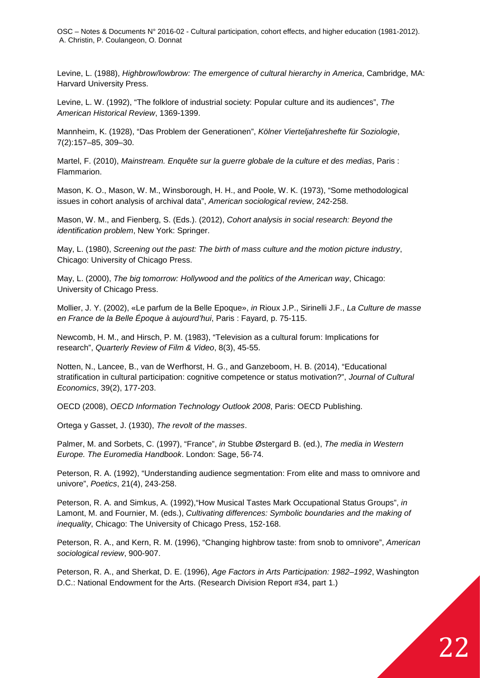Levine, L. (1988), *Highbrow/lowbrow: The emergence of cultural hierarchy in America*, Cambridge, MA: Harvard University Press.

Levine, L. W. (1992), "The folklore of industrial society: Popular culture and its audiences", *The American Historical Review*, 1369-1399.

Mannheim, K. (1928), "Das Problem der Generationen", *Kölner Vierteljahreshefte für Soziologie*, 7(2):157–85, 309–30.

Martel, F. (2010), *Mainstream. Enquête sur la guerre globale de la culture et des medias*, Paris : Flammarion.

Mason, K. O., Mason, W. M., Winsborough, H. H., and Poole, W. K. (1973), "Some methodological issues in cohort analysis of archival data", *American sociological review*, 242-258.

Mason, W. M., and Fienberg, S. (Eds.). (2012), *Cohort analysis in social research: Beyond the identification problem*, New York: Springer.

May, L. (1980), *Screening out the past: The birth of mass culture and the motion picture industry*, Chicago: University of Chicago Press.

May, L. (2000), *The big tomorrow: Hollywood and the politics of the American way*, Chicago: University of Chicago Press.

Mollier, J. Y. (2002), «Le parfum de la Belle Epoque», *in* Rioux J.P., Sirinelli J.F., *La Culture de masse en France de la Belle Époque à aujourd'hui*, Paris : Fayard, p. 75-115.

Newcomb, H. M., and Hirsch, P. M. (1983), "Television as a cultural forum: Implications for research", *Quarterly Review of Film & Video*, 8(3), 45-55.

Notten, N., Lancee, B., van de Werfhorst, H. G., and Ganzeboom, H. B. (2014), "Educational stratification in cultural participation: cognitive competence or status motivation?", *Journal of Cultural Economics*, 39(2), 177-203.

OECD (2008), *OECD Information Technology Outlook 2008*, Paris: OECD Publishing.

Ortega y Gasset, J. (1930), *The revolt of the masses*.

Palmer, M. and Sorbets, C. (1997), "France", *in* Stubbe Østergard B. (ed.), *The media in Western Europe. The Euromedia Handbook*. London: Sage, 56-74.

Peterson, R. A. (1992), "Understanding audience segmentation: From elite and mass to omnivore and univore", *Poetics*, 21(4), 243-258.

Peterson, R. A. and Simkus, A. (1992),"How Musical Tastes Mark Occupational Status Groups", *in* Lamont, M. and Fournier, M. (eds.), *Cultivating differences: Symbolic boundaries and the making of inequality*, Chicago: The University of Chicago Press, 152-168.

Peterson, R. A., and Kern, R. M. (1996), "Changing highbrow taste: from snob to omnivore", *American sociological review*, 900-907.

Peterson, R. A., and Sherkat, D. E. (1996), *Age Factors in Arts Participation: 1982–1992*, Washington D.C.: National Endowment for the Arts. (Research Division Report #34, part 1.)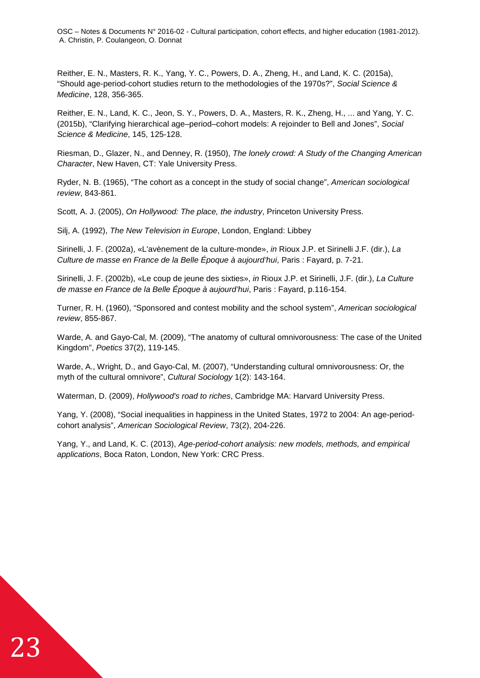Reither, E. N., Masters, R. K., Yang, Y. C., Powers, D. A., Zheng, H., and Land, K. C. (2015a), "Should age-period-cohort studies return to the methodologies of the 1970s?", *Social Science & Medicine*, 128, 356-365.

Reither, E. N., Land, K. C., Jeon, S. Y., Powers, D. A., Masters, R. K., Zheng, H., ... and Yang, Y. C. (2015b), "Clarifying hierarchical age–period–cohort models: A rejoinder to Bell and Jones", *Social Science & Medicine*, 145, 125-128.

Riesman, D., Glazer, N., and Denney, R. (1950), *The lonely crowd: A Study of the Changing American Character*, New Haven, CT: Yale University Press.

Ryder, N. B. (1965), "The cohort as a concept in the study of social change", *American sociological review*, 843-861.

Scott, A. J. (2005), *On Hollywood: The place, the industry*, Princeton University Press.

Silj, A. (1992), *The New Television in Europe*, London, England: Libbey

Sirinelli, J. F. (2002a), «L'avènement de la culture-monde», *in* Rioux J.P. et Sirinelli J.F. (dir.), *La Culture de masse en France de la Belle Époque à aujourd'hui*, Paris : Fayard, p. 7-21.

Sirinelli, J. F. (2002b), «Le coup de jeune des sixties», *in* Rioux J.P. et Sirinelli, J.F. (dir.), *La Culture de masse en France de la Belle Époque à aujourd'hui*, Paris : Fayard, p.116-154.

Turner, R. H. (1960), "Sponsored and contest mobility and the school system", *American sociological review*, 855-867.

Warde, A. and Gayo-Cal, M. (2009), "The anatomy of cultural omnivorousness: The case of the United Kingdom", *Poetics* 37(2), 119-145.

Warde, A., Wright, D., and Gayo-Cal, M. (2007), "Understanding cultural omnivorousness: Or, the myth of the cultural omnivore", *Cultural Sociology* 1(2): 143-164.

Waterman, D. (2009), *Hollywood's road to riches*, Cambridge MA: Harvard University Press.

Yang, Y. (2008), "Social inequalities in happiness in the United States, 1972 to 2004: An age-periodcohort analysis", *American Sociological Review*, 73(2), 204-226.

Yang, Y., and Land, K. C. (2013), *Age-period-cohort analysis: new models, methods, and empirical applications*, Boca Raton, London, New York: CRC Press.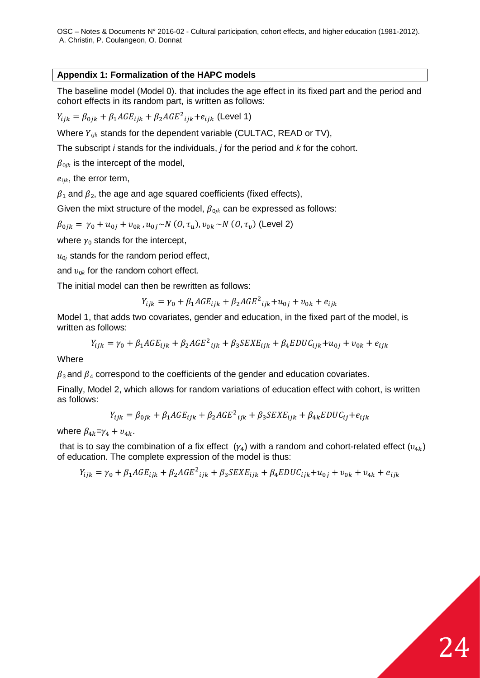#### **Appendix 1: Formalization of the HAPC models**

The baseline model (Model 0). that includes the age effect in its fixed part and the period and cohort effects in its random part, is written as follows:

 $Y_{ijk} = \beta_{0jk} + \beta_1 A G E_{ijk} + \beta_2 A G E^2{}_{ijk} + e_{ijk}$  (Level 1)

Where  $Y_{ijk}$  stands for the dependent variable (CULTAC, READ or TV),

The subscript *i* stands for the individuals, *j* for the period and *k* for the cohort.

 $\beta_{0ik}$  is the intercept of the model,

 $e_{ijk}$ , the error term,

 $\beta_1$  and  $\beta_2$ , the age and age squared coefficients (fixed effects),

Given the mixt structure of the model,  $\beta_{0ik}$  can be expressed as follows:

$$
\beta_{0jk} = \gamma_0 + u_{0j} + v_{0k}, u_{0j} \sim N(0, \tau_u), v_{0k} \sim N(0, \tau_v)
$$
 (Level 2)

where  $y_0$  stands for the intercept,

 $u_{0i}$  stands for the random period effect,

and  $v_{0k}$  for the random cohort effect.

The initial model can then be rewritten as follows:

$$
Y_{ijk} = \gamma_0 + \beta_1 A G E_{ijk} + \beta_2 A G E^2_{ijk} + u_{0j} + v_{0k} + e_{ijk}
$$

Model 1, that adds two covariates, gender and education, in the fixed part of the model, is written as follows:

$$
Y_{ijk} = \gamma_0 + \beta_1 AGE_{ijk} + \beta_2 AGE^2_{ijk} + \beta_3 SEXE_{ijk} + \beta_4 EDUC_{ijk} + u_{0j} + v_{0k} + e_{ijk}
$$

**Where** 

 $\beta_3$  and  $\beta_4$  correspond to the coefficients of the gender and education covariates.

Finally, Model 2, which allows for random variations of education effect with cohort, is written as follows:

$$
Y_{ijk} = \beta_{0jk} + \beta_1 AGE_{ijk} + \beta_2 AGE^2_{ijk} + \beta_3 SEXE_{ijk} + \beta_{4k} EDUC_{ij} + e_{ijk}
$$

where  $\beta_{4k} = \gamma_4 + \upsilon_{4k}$ .

that is to say the combination of a fix effect  $(y_4)$  with a random and cohort-related effect  $(y_{4k})$ of education. The complete expression of the model is thus:

$$
Y_{ijk} = \gamma_0 + \beta_1 AGE_{ijk} + \beta_2 AGE^2_{ijk} + \beta_3 SEXE_{ijk} + \beta_4 EDUC_{ijk} + u_{0j} + v_{0k} + v_{4k} + e_{ijk}
$$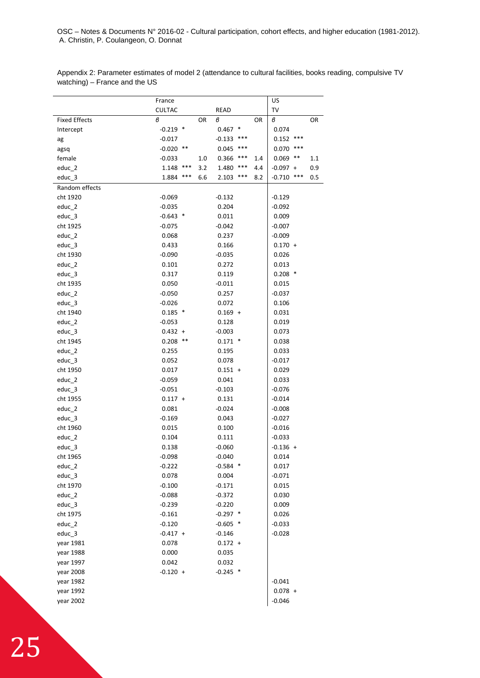Appendix 2: Parameter estimates of model 2 (attendance to cultural facilities, books reading, compulsive TV watching) – France and the US

|                      | France        |       |     |            |     |     | US                |     |
|----------------------|---------------|-------|-----|------------|-----|-----|-------------------|-----|
|                      | <b>CULTAC</b> |       |     | READ       |     |     | TV                |     |
| <b>Fixed Effects</b> | в             |       | OR  | в          |     | OR  | в                 | OR  |
| Intercept            | $-0.219$ *    |       |     | $0.467$ *  |     |     | 0.074             |     |
| ag                   | $-0.017$      |       |     | $-0.133$   | *** |     | $0.152$ ***       |     |
| agsq                 | $-0.020$      | $***$ |     | 0.045      | *** |     | ***<br>0.070      |     |
| female               | $-0.033$      |       | 1.0 | 0.366      | *** | 1.4 | $***$<br>0.069    | 1.1 |
| educ_2               | 1.148         | $***$ | 3.2 | 1.480      | *** | 4.4 | $-0.097 +$        | 0.9 |
| educ <sub>3</sub>    | 1.884         | ***   | 6.6 | 2.103      | *** | 8.2 | $***$<br>$-0.710$ | 0.5 |
| Random effects       |               |       |     |            |     |     |                   |     |
| cht 1920             | $-0.069$      |       |     | $-0.132$   |     |     | $-0.129$          |     |
| educ_2               | $-0.035$      |       |     | 0.204      |     |     | $-0.092$          |     |
| educ_3               | $-0.643$ *    |       |     | 0.011      |     |     | 0.009             |     |
| cht 1925             | $-0.075$      |       |     | $-0.042$   |     |     | $-0.007$          |     |
| educ_2               | 0.068         |       |     | 0.237      |     |     | $-0.009$          |     |
| educ_3               | 0.433         |       |     | 0.166      |     |     | $0.170 +$         |     |
| cht 1930             | $-0.090$      |       |     | $-0.035$   |     |     | 0.026             |     |
| educ_2               | 0.101         |       |     | 0.272      |     |     | 0.013             |     |
| educ_3               | 0.317         |       |     | 0.119      |     |     | $0.208$ *         |     |
| cht 1935             | 0.050         |       |     | $-0.011$   |     |     | 0.015             |     |
| educ_2               | $-0.050$      |       |     | 0.257      |     |     | $-0.037$          |     |
|                      |               |       |     | 0.072      |     |     | 0.106             |     |
| educ_3<br>cht 1940   | $-0.026$      |       |     |            |     |     | 0.031             |     |
|                      | $0.185$ *     |       |     | $0.169 +$  |     |     |                   |     |
| educ_2               | $-0.053$      |       |     | 0.128      |     |     | 0.019             |     |
| educ_3               | $0.432 +$     |       |     | $-0.003$   |     |     | 0.073             |     |
| cht 1945             | $0.208$ **    |       |     | $0.171$ *  |     |     | 0.038             |     |
| educ_2               | 0.255         |       |     | 0.195      |     |     | 0.033             |     |
| educ_3               | 0.052         |       |     | 0.078      |     |     | $-0.017$          |     |
| cht 1950             | 0.017         |       |     | $0.151 +$  |     |     | 0.029             |     |
| educ_2               | $-0.059$      |       |     | 0.041      |     |     | 0.033             |     |
| educ_3               | $-0.051$      |       |     | $-0.103$   |     |     | $-0.076$          |     |
| cht 1955             | $0.117 +$     |       |     | 0.131      |     |     | $-0.014$          |     |
| educ_2               | 0.081         |       |     | $-0.024$   |     |     | $-0.008$          |     |
| educ_3               | $-0.169$      |       |     | 0.043      |     |     | $-0.027$          |     |
| cht 1960             | 0.015         |       |     | 0.100      |     |     | $-0.016$          |     |
| educ_2               | 0.104         |       |     | 0.111      |     |     | $-0.033$          |     |
| educ <sub>3</sub>    | 0.138         |       |     | $-0.060$   |     |     | $-0.136 +$        |     |
| cht 1965             | -0.098        |       |     | $-0.040$   |     |     | 0.014             |     |
| educ_2               | $-0.222$      |       |     | $-0.584$ * |     |     | 0.017             |     |
| educ_3               | 0.078         |       |     | 0.004      |     |     | $-0.071$          |     |
| cht 1970             | $-0.100$      |       |     | $-0.171$   |     |     | 0.015             |     |
| educ 2               | $-0.088$      |       |     | $-0.372$   |     |     | 0.030             |     |
| $educ_3$             | $-0.239$      |       |     | $-0.220$   |     |     | 0.009             |     |
| cht 1975             | $-0.161$      |       |     | $-0.297$ * |     |     | 0.026             |     |
| educ 2               | $-0.120$      |       |     | $-0.605$ * |     |     | $-0.033$          |     |
| educ 3               | $-0.417 +$    |       |     | $-0.146$   |     |     | $-0.028$          |     |
| year 1981            | 0.078         |       |     | $0.172 +$  |     |     |                   |     |
| year 1988            | 0.000         |       |     | 0.035      |     |     |                   |     |
| year 1997            | 0.042         |       |     | 0.032      |     |     |                   |     |
| year 2008            | $-0.120 +$    |       |     | $-0.245$ * |     |     |                   |     |
| year 1982            |               |       |     |            |     |     | $-0.041$          |     |
| year 1992            |               |       |     |            |     |     | $0.078 +$         |     |
| year 2002            |               |       |     |            |     |     | $-0.046$          |     |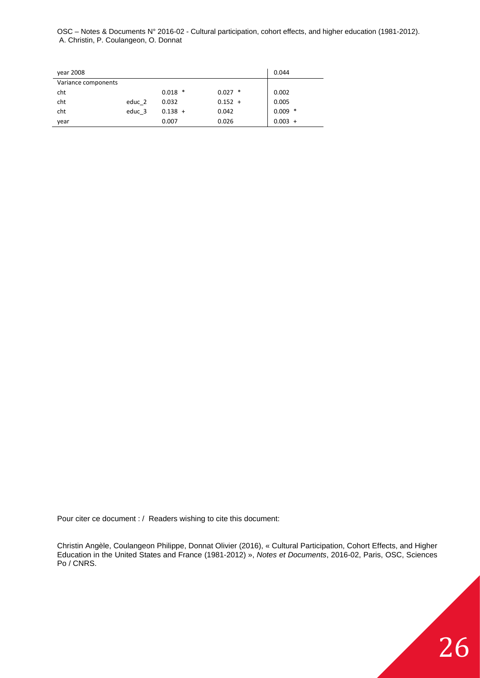| vear 2008           |        |           |           | 0.044     |
|---------------------|--------|-----------|-----------|-----------|
| Variance components |        |           |           |           |
| cht                 |        | $0.018$ * | $0.027$ * | 0.002     |
| cht                 | educ 2 | 0.032     | $0.152 +$ | 0.005     |
| cht                 | educ 3 | $0.138 +$ | 0.042     | $0.009$ * |
| year                |        | 0.007     | 0.026     | $0.003 +$ |

Pour citer ce document : / Readers wishing to cite this document:

Christin Angèle, Coulangeon Philippe, Donnat Olivier (2016), « Cultural Participation, Cohort Effects, and Higher Education in the United States and France (1981-2012) », *Notes et Documents*, 2016-02, Paris, OSC, Sciences Po / CNRS.